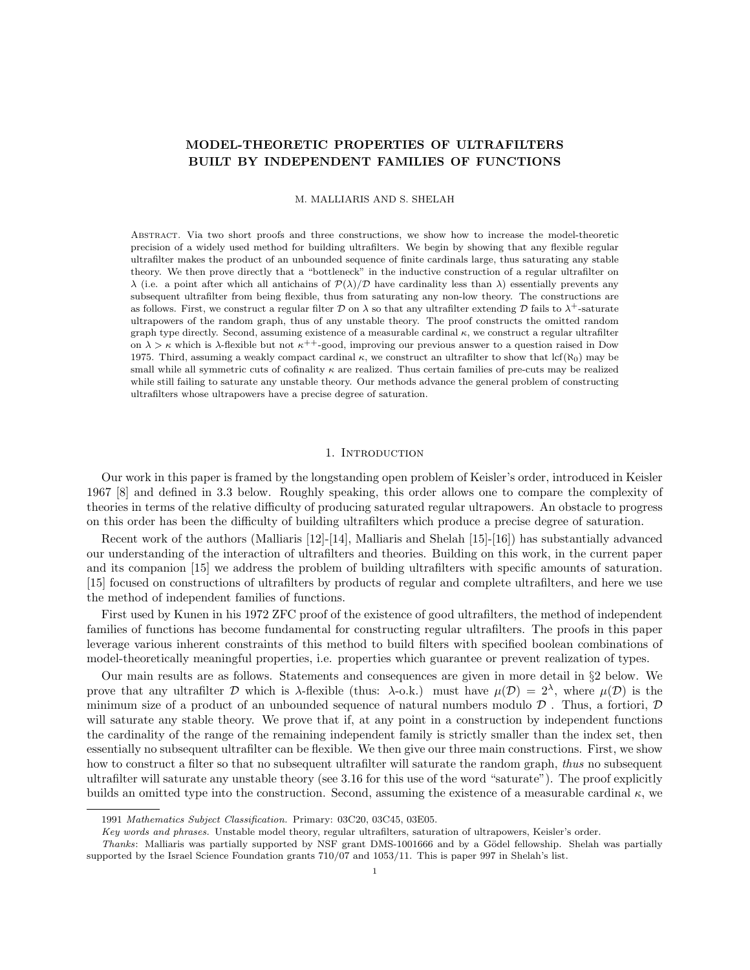# MODEL-THEORETIC PROPERTIES OF ULTRAFILTERS BUILT BY INDEPENDENT FAMILIES OF FUNCTIONS

M. MALLIARIS AND S. SHELAH

Abstract. Via two short proofs and three constructions, we show how to increase the model-theoretic precision of a widely used method for building ultrafilters. We begin by showing that any flexible regular ultrafilter makes the product of an unbounded sequence of finite cardinals large, thus saturating any stable theory. We then prove directly that a "bottleneck" in the inductive construction of a regular ultrafilter on  $\lambda$  (i.e. a point after which all antichains of  $\mathcal{P}(\lambda)/\mathcal{D}$  have cardinality less than  $\lambda$ ) essentially prevents any subsequent ultrafilter from being flexible, thus from saturating any non-low theory. The constructions are as follows. First, we construct a regular filter D on  $\lambda$  so that any ultrafilter extending D fails to  $\lambda^+$ -saturate ultrapowers of the random graph, thus of any unstable theory. The proof constructs the omitted random graph type directly. Second, assuming existence of a measurable cardinal  $\kappa$ , we construct a regular ultrafilter on  $\lambda > \kappa$  which is  $\lambda$ -flexible but not  $\kappa^{++}$ -good, improving our previous answer to a question raised in Dow 1975. Third, assuming a weakly compact cardinal  $\kappa$ , we construct an ultrafilter to show that lcf( $\aleph_0$ ) may be small while all symmetric cuts of cofinality  $\kappa$  are realized. Thus certain families of pre-cuts may be realized while still failing to saturate any unstable theory. Our methods advance the general problem of constructing ultrafilters whose ultrapowers have a precise degree of saturation.

### 1. INTRODUCTION

Our work in this paper is framed by the longstanding open problem of Keisler's order, introduced in Keisler 1967 [8] and defined in 3.3 below. Roughly speaking, this order allows one to compare the complexity of theories in terms of the relative difficulty of producing saturated regular ultrapowers. An obstacle to progress on this order has been the difficulty of building ultrafilters which produce a precise degree of saturation.

Recent work of the authors (Malliaris [12]-[14], Malliaris and Shelah [15]-[16]) has substantially advanced our understanding of the interaction of ultrafilters and theories. Building on this work, in the current paper and its companion [15] we address the problem of building ultrafilters with specific amounts of saturation. [15] focused on constructions of ultrafilters by products of regular and complete ultrafilters, and here we use the method of independent families of functions.

First used by Kunen in his 1972 ZFC proof of the existence of good ultrafilters, the method of independent families of functions has become fundamental for constructing regular ultrafilters. The proofs in this paper leverage various inherent constraints of this method to build filters with specified boolean combinations of model-theoretically meaningful properties, i.e. properties which guarantee or prevent realization of types.

Our main results are as follows. Statements and consequences are given in more detail in §2 below. We prove that any ultrafilter D which is  $\lambda$ -flexible (thus:  $\lambda$ -o.k.) must have  $\mu(\mathcal{D}) = 2^{\lambda}$ , where  $\mu(\mathcal{D})$  is the minimum size of a product of an unbounded sequence of natural numbers modulo  $\mathcal D$ . Thus, a fortiori,  $\mathcal D$ will saturate any stable theory. We prove that if, at any point in a construction by independent functions the cardinality of the range of the remaining independent family is strictly smaller than the index set, then essentially no subsequent ultrafilter can be flexible. We then give our three main constructions. First, we show how to construct a filter so that no subsequent ultrafilter will saturate the random graph, thus no subsequent ultrafilter will saturate any unstable theory (see 3.16 for this use of the word "saturate"). The proof explicitly builds an omitted type into the construction. Second, assuming the existence of a measurable cardinal  $\kappa$ , we

<sup>1991</sup> Mathematics Subject Classification. Primary: 03C20, 03C45, 03E05.

Key words and phrases. Unstable model theory, regular ultrafilters, saturation of ultrapowers, Keisler's order.

Thanks: Malliaris was partially supported by NSF grant DMS-1001666 and by a Gödel fellowship. Shelah was partially supported by the Israel Science Foundation grants 710/07 and 1053/11. This is paper 997 in Shelah's list.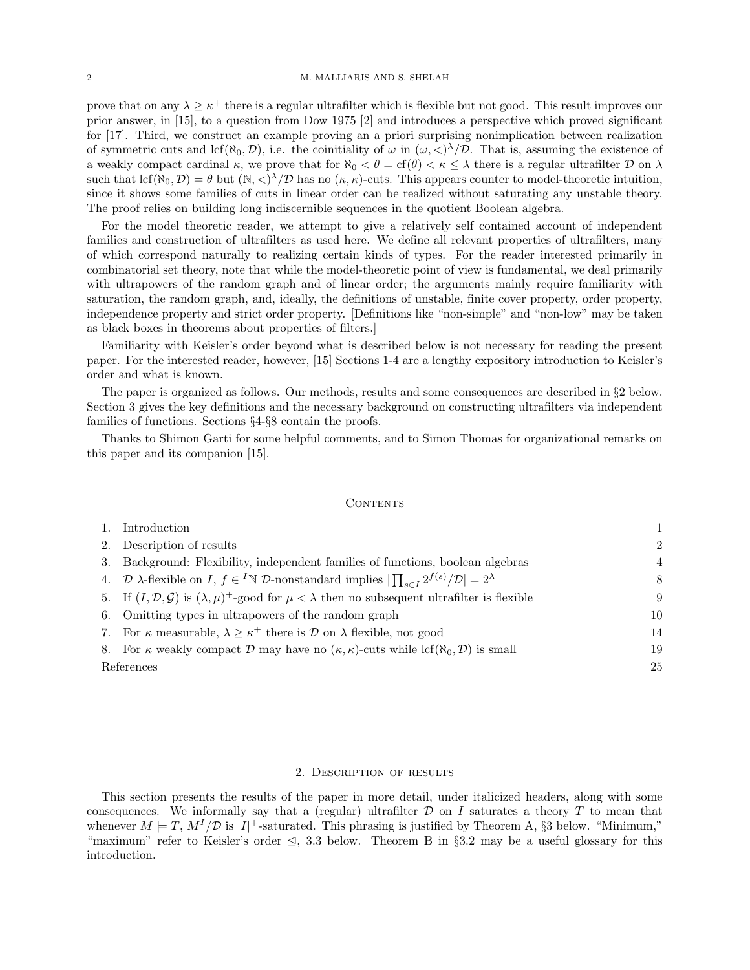prove that on any  $\lambda \geq \kappa^+$  there is a regular ultrafilter which is flexible but not good. This result improves our prior answer, in [15], to a question from Dow 1975 [2] and introduces a perspective which proved significant for [17]. Third, we construct an example proving an a priori surprising nonimplication between realization of symmetric cuts and lcf( $\aleph_0, \mathcal{D}$ ), i.e. the coinitiality of  $\omega$  in  $(\omega, \langle \rangle^{\lambda}/\mathcal{D})$ . That is, assuming the existence of a weakly compact cardinal  $\kappa$ , we prove that for  $\aleph_0 < \theta = \text{cf}(\theta) < \kappa \leq \lambda$  there is a regular ultrafilter  $\mathcal D$  on  $\lambda$ such that  $\text{lcf}(\aleph_0, \mathcal{D}) = \theta$  but  $(\aleph, \langle \rangle^{\lambda}/\mathcal{D})$  has no  $(\kappa, \kappa)$ -cuts. This appears counter to model-theoretic intuition, since it shows some families of cuts in linear order can be realized without saturating any unstable theory. The proof relies on building long indiscernible sequences in the quotient Boolean algebra.

For the model theoretic reader, we attempt to give a relatively self contained account of independent families and construction of ultrafilters as used here. We define all relevant properties of ultrafilters, many of which correspond naturally to realizing certain kinds of types. For the reader interested primarily in combinatorial set theory, note that while the model-theoretic point of view is fundamental, we deal primarily with ultrapowers of the random graph and of linear order; the arguments mainly require familiarity with saturation, the random graph, and, ideally, the definitions of unstable, finite cover property, order property, independence property and strict order property. [Definitions like "non-simple" and "non-low" may be taken as black boxes in theorems about properties of filters.]

Familiarity with Keisler's order beyond what is described below is not necessary for reading the present paper. For the interested reader, however, [15] Sections 1-4 are a lengthy expository introduction to Keisler's order and what is known.

The paper is organized as follows. Our methods, results and some consequences are described in §2 below. Section 3 gives the key definitions and the necessary background on constructing ultrafilters via independent families of functions. Sections §4-§8 contain the proofs.

Thanks to Shimon Garti for some helpful comments, and to Simon Thomas for organizational remarks on this paper and its companion [15].

#### CONTENTS

|            | Introduction                                                                                                                                                   |                |
|------------|----------------------------------------------------------------------------------------------------------------------------------------------------------------|----------------|
|            | Description of results<br>2.                                                                                                                                   | $\mathcal{D}$  |
|            | 3. Background: Flexibility, independent families of functions, boolean algebras                                                                                | $\overline{4}$ |
|            | 4. $\mathcal{D}$ $\lambda$ -flexible on I, $f \in {}^{I} \mathbb{N}$ $\mathcal{D}$ -nonstandard implies $ \prod_{s \in I} 2^{f(s)}/\mathcal{D}  = 2^{\lambda}$ | 8              |
|            | 5. If $(I, \mathcal{D}, \mathcal{G})$ is $(\lambda, \mu)^+$ -good for $\mu < \lambda$ then no subsequent ultrafilter is flexible                               | 9              |
|            | 6. Omitting types in ultrapowers of the random graph                                                                                                           | 10             |
|            | 7. For $\kappa$ measurable, $\lambda \geq \kappa^+$ there is $\mathcal D$ on $\lambda$ flexible, not good                                                      | 14             |
|            | 8. For $\kappa$ weakly compact D may have no $(\kappa, \kappa)$ -cuts while lcf( $\aleph_0, \mathcal{D}$ ) is small                                            | 19             |
| References |                                                                                                                                                                |                |

#### 2. Description of results

This section presents the results of the paper in more detail, under italicized headers, along with some consequences. We informally say that a (regular) ultrafilter  $D$  on I saturates a theory T to mean that whenever  $M \models T$ ,  $M^{I}/\mathcal{D}$  is  $|I|^{+}$ -saturated. This phrasing is justified by Theorem A, §3 below. "Minimum," "maximum" refer to Keisler's order  $\leq$ , 3.3 below. Theorem B in §3.2 may be a useful glossary for this introduction.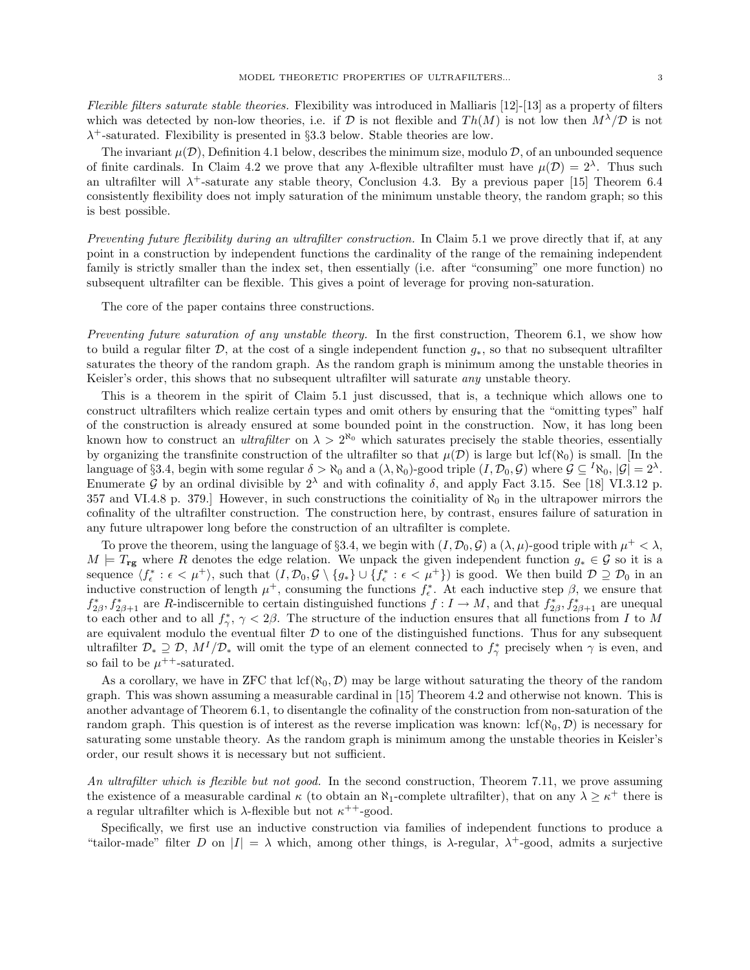Flexible filters saturate stable theories. Flexibility was introduced in Malliaris [12]-[13] as a property of filters which was detected by non-low theories, i.e. if D is not flexible and  $Th(M)$  is not low then  $M^{\lambda}/\mathcal{D}$  is not  $\lambda^+$ -saturated. Flexibility is presented in §3.3 below. Stable theories are low.

The invariant  $\mu(\mathcal{D})$ , Definition 4.1 below, describes the minimum size, modulo  $\mathcal{D}$ , of an unbounded sequence of finite cardinals. In Claim 4.2 we prove that any  $\lambda$ -flexible ultrafilter must have  $\mu(\mathcal{D}) = 2^{\lambda}$ . Thus such an ultrafilter will  $\lambda^+$ -saturate any stable theory, Conclusion 4.3. By a previous paper [15] Theorem 6.4 consistently flexibility does not imply saturation of the minimum unstable theory, the random graph; so this is best possible.

Preventing future flexibility during an ultrafilter construction. In Claim 5.1 we prove directly that if, at any point in a construction by independent functions the cardinality of the range of the remaining independent family is strictly smaller than the index set, then essentially (i.e. after "consuming" one more function) no subsequent ultrafilter can be flexible. This gives a point of leverage for proving non-saturation.

The core of the paper contains three constructions.

Preventing future saturation of any unstable theory. In the first construction, Theorem 6.1, we show how to build a regular filter  $\mathcal{D}$ , at the cost of a single independent function  $g_*$ , so that no subsequent ultrafilter saturates the theory of the random graph. As the random graph is minimum among the unstable theories in Keisler's order, this shows that no subsequent ultrafilter will saturate *any* unstable theory.

This is a theorem in the spirit of Claim 5.1 just discussed, that is, a technique which allows one to construct ultrafilters which realize certain types and omit others by ensuring that the "omitting types" half of the construction is already ensured at some bounded point in the construction. Now, it has long been known how to construct an *ultrafilter* on  $\lambda > 2^{\aleph_0}$  which saturates precisely the stable theories, essentially by organizing the transfinite construction of the ultrafilter so that  $\mu(\mathcal{D})$  is large but lcf( $\aleph_0$ ) is small. [In the language of §3.4, begin with some regular  $\delta > \aleph_0$  and a  $(\lambda, \aleph_0)$ -good triple  $(I, \mathcal{D}_0, \mathcal{G})$  where  $\mathcal{G} \subseteq {}^I\aleph_0$ ,  $|\mathcal{G}| = 2^{\lambda}$ . Enumerate G by an ordinal divisible by  $2^{\lambda}$  and with cofinality  $\delta$ , and apply Fact 3.15. See [18] VI.3.12 p. 357 and VI.4.8 p. 379.] However, in such constructions the coinitiality of  $\aleph_0$  in the ultrapower mirrors the cofinality of the ultrafilter construction. The construction here, by contrast, ensures failure of saturation in any future ultrapower long before the construction of an ultrafilter is complete.

To prove the theorem, using the language of §3.4, we begin with  $(I, \mathcal{D}_0, \mathcal{G})$  a  $(\lambda, \mu)$ -good triple with  $\mu^+ < \lambda$ ,  $M \models T_{\text{rg}}$  where R denotes the edge relation. We unpack the given independent function  $g_* \in \mathcal{G}$  so it is a sequence  $\langle f_{\epsilon}^* : \epsilon < \mu^+ \rangle$ , such that  $(I, \mathcal{D}_0, \mathcal{G} \setminus \{g_*\} \cup \{f_{\epsilon}^* : \epsilon < \mu^+\} )$  is good. We then build  $\mathcal{D} \supseteq \mathcal{D}_0$  in an inductive construction of length  $\mu^+$ , consuming the functions  $f_{\epsilon}^*$ . At each inductive step  $\beta$ , we ensure that  $f_{2\beta}^*, f_{2\beta+1}^*$  are R-indiscernible to certain distinguished functions  $f: I \to M$ , and that  $f_{2\beta}^*, f_{2\beta+1}^*$  are unequal to each other and to all  $f_{\gamma}^*, \gamma < 2\beta$ . The structure of the induction ensures that all functions from I to M are equivalent modulo the eventual filter  $D$  to one of the distinguished functions. Thus for any subsequent ultrafilter  $\mathcal{D}_* \supseteq \mathcal{D}$ ,  $M^I/\mathcal{D}_*$  will omit the type of an element connected to  $f_{\gamma}^*$  precisely when  $\gamma$  is even, and so fail to be  $\mu^{++}$ -saturated.

As a corollary, we have in ZFC that  $lcf(\aleph_0, \mathcal{D})$  may be large without saturating the theory of the random graph. This was shown assuming a measurable cardinal in [15] Theorem 4.2 and otherwise not known. This is another advantage of Theorem 6.1, to disentangle the cofinality of the construction from non-saturation of the random graph. This question is of interest as the reverse implication was known:  $\text{lcf}(\aleph_0, \mathcal{D})$  is necessary for saturating some unstable theory. As the random graph is minimum among the unstable theories in Keisler's order, our result shows it is necessary but not sufficient.

An ultrafilter which is flexible but not good. In the second construction, Theorem 7.11, we prove assuming the existence of a measurable cardinal  $\kappa$  (to obtain an  $\aleph_1$ -complete ultrafilter), that on any  $\lambda \geq \kappa^+$  there is a regular ultrafilter which is  $\lambda$ -flexible but not  $\kappa^{++}$ -good.

Specifically, we first use an inductive construction via families of independent functions to produce a "tailor-made" filter D on  $|I| = \lambda$  which, among other things, is  $\lambda$ -regular,  $\lambda^+$ -good, admits a surjective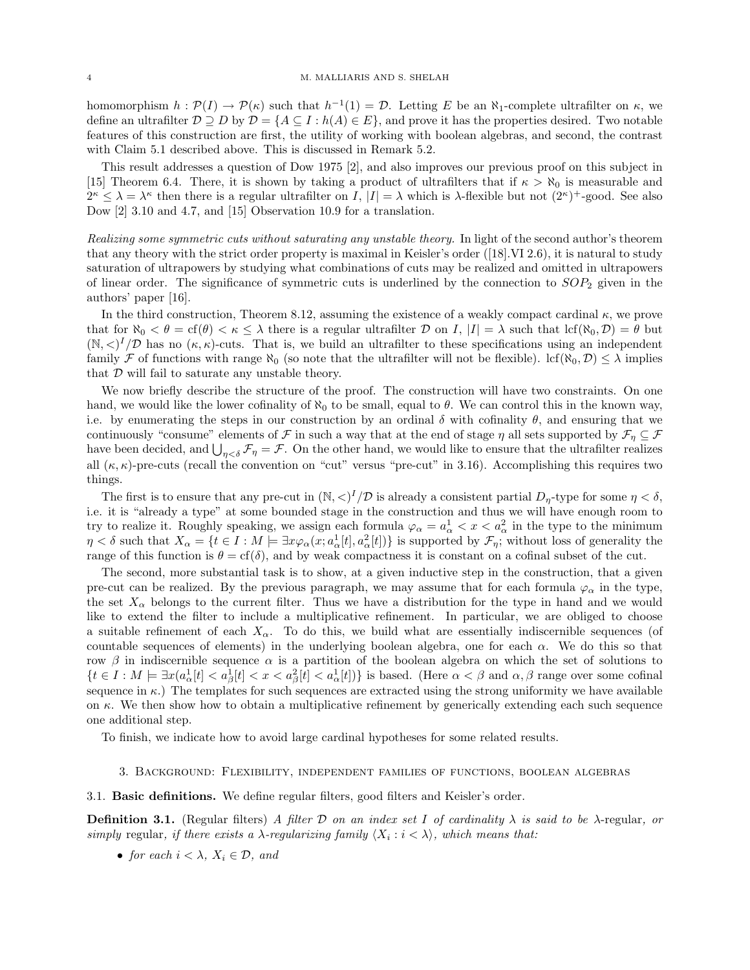homomorphism  $h: \mathcal{P}(I) \to \mathcal{P}(\kappa)$  such that  $h^{-1}(1) = \mathcal{D}$ . Letting E be an  $\aleph_1$ -complete ultrafilter on  $\kappa$ , we define an ultrafilter  $D \supseteq D$  by  $D = \{A \subseteq I : h(A) \in E\}$ , and prove it has the properties desired. Two notable features of this construction are first, the utility of working with boolean algebras, and second, the contrast with Claim 5.1 described above. This is discussed in Remark 5.2.

This result addresses a question of Dow 1975 [2], and also improves our previous proof on this subject in [15] Theorem 6.4. There, it is shown by taking a product of ultrafilters that if  $\kappa > \aleph_0$  is measurable and  $2^{\kappa} \leq \lambda = \lambda^{\kappa}$  then there is a regular ultrafilter on I,  $|I| = \lambda$  which is  $\lambda$ -flexible but not  $(2^{\kappa})^+$ -good. See also Dow [2] 3.10 and 4.7, and [15] Observation 10.9 for a translation.

Realizing some symmetric cuts without saturating any unstable theory. In light of the second author's theorem that any theory with the strict order property is maximal in Keisler's order ([18].VI 2.6), it is natural to study saturation of ultrapowers by studying what combinations of cuts may be realized and omitted in ultrapowers of linear order. The significance of symmetric cuts is underlined by the connection to  $SOP_2$  given in the authors' paper [16].

In the third construction, Theorem 8.12, assuming the existence of a weakly compact cardinal  $\kappa$ , we prove that for  $\aleph_0 < \theta = \operatorname{cf}(\theta) < \kappa \leq \lambda$  there is a regular ultrafilter  $\mathcal D$  on I,  $|I| = \lambda$  such that  $\operatorname{lcf}(\aleph_0, \mathcal D) = \theta$  but  $(N, \langle)^I/D$  has no  $(\kappa, \kappa)$ -cuts. That is, we build an ultrafilter to these specifications using an independent family F of functions with range  $\aleph_0$  (so note that the ultrafilter will not be flexible). lcf( $\aleph_0, \mathcal{D} \leq \lambda$  implies that  $\mathcal D$  will fail to saturate any unstable theory.

We now briefly describe the structure of the proof. The construction will have two constraints. On one hand, we would like the lower cofinality of  $\aleph_0$  to be small, equal to  $\theta$ . We can control this in the known way, i.e. by enumerating the steps in our construction by an ordinal  $\delta$  with cofinality  $\theta$ , and ensuring that we continuously "consume" elements of F in such a way that at the end of stage  $\eta$  all sets supported by  $\mathcal{F}_\eta \subseteq \mathcal{F}$ have been decided, and  $\bigcup_{\eta<\delta} \mathcal{F}_\eta = \mathcal{F}$ . On the other hand, we would like to ensure that the ultrafilter realizes all  $(\kappa, \kappa)$ -pre-cuts (recall the convention on "cut" versus "pre-cut" in 3.16). Accomplishing this requires two things.

The first is to ensure that any pre-cut in  $(\mathbb{N}, <)^{I}/\mathcal{D}$  is already a consistent partial  $D_{\eta}$ -type for some  $\eta < \delta$ , i.e. it is "already a type" at some bounded stage in the construction and thus we will have enough room to try to realize it. Roughly speaking, we assign each formula  $\varphi_{\alpha} = a_{\alpha}^1 < x < a_{\alpha}^2$  in the type to the minimum  $\eta < \delta$  such that  $X_{\alpha} = \{t \in I : M \models \exists x \varphi_{\alpha}(x; a^1_{\alpha}[t], a^2_{\alpha}[t])\}$  is supported by  $\mathcal{F}_{\eta}$ ; without loss of generality the range of this function is  $\theta = cf(\delta)$ , and by weak compactness it is constant on a cofinal subset of the cut.

The second, more substantial task is to show, at a given inductive step in the construction, that a given pre-cut can be realized. By the previous paragraph, we may assume that for each formula  $\varphi_{\alpha}$  in the type, the set  $X_\alpha$  belongs to the current filter. Thus we have a distribution for the type in hand and we would like to extend the filter to include a multiplicative refinement. In particular, we are obliged to choose a suitable refinement of each  $X_{\alpha}$ . To do this, we build what are essentially indiscernible sequences (of countable sequences of elements) in the underlying boolean algebra, one for each  $\alpha$ . We do this so that row  $\beta$  in indiscernible sequence  $\alpha$  is a partition of the boolean algebra on which the set of solutions to  ${t \in I : M \models \exists x (a_\alpha^1[t] < a_\beta^1[t] < x < a_\beta^2[t] < a_\alpha^1[t])}$  is based. (Here  $\alpha < \beta$  and  $\alpha, \beta$  range over some cofinal sequence in  $\kappa$ .) The templates for such sequences are extracted using the strong uniformity we have available on  $\kappa$ . We then show how to obtain a multiplicative refinement by generically extending each such sequence one additional step.

To finish, we indicate how to avoid large cardinal hypotheses for some related results.

- 3. Background: Flexibility, independent families of functions, boolean algebras
- 3.1. Basic definitions. We define regular filters, good filters and Keisler's order.

**Definition 3.1.** (Regular filters) A filter D on an index set I of cardinality  $\lambda$  is said to be  $\lambda$ -regular, or simply regular, if there exists a  $\lambda$ -regularizing family  $\langle X_i : i \rangle$ , which means that:

• for each  $i < \lambda$ ,  $X_i \in \mathcal{D}$ , and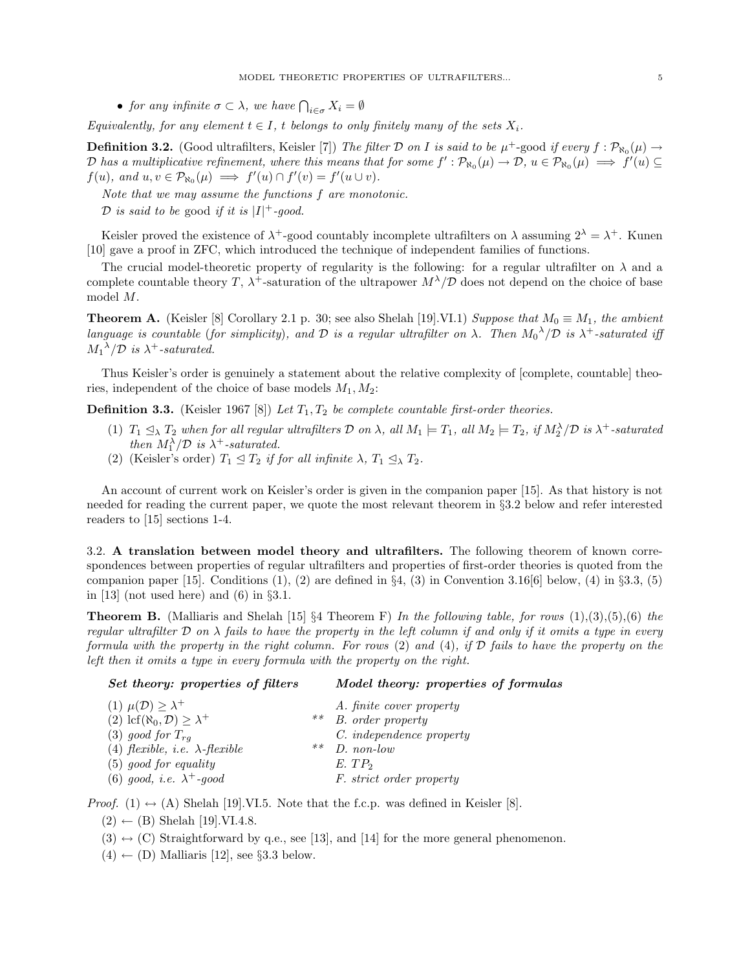• for any infinite  $\sigma \subset \lambda$ , we have  $\bigcap_{i \in \sigma} X_i = \emptyset$ 

Equivalently, for any element  $t \in I$ , t belongs to only finitely many of the sets  $X_i$ .

**Definition 3.2.** (Good ultrafilters, Keisler [7]) The filter D on I is said to be  $\mu^+$ -good if every  $f : \mathcal{P}_{\aleph_0}(\mu) \to$ D has a multiplicative refinement, where this means that for some  $f': \mathcal{P}_{\aleph_0}(\mu) \to \mathcal{D}, u \in \mathcal{P}_{\aleph_0}(\mu) \implies f'(u) \subseteq$  $f(u)$ , and  $u, v \in \mathcal{P}_{\aleph_0}(\mu) \implies f'(u) \cap f'(v) = f'(u \cup v)$ .

Note that we may assume the functions f are monotonic.

D is said to be good if it is  $|I|$ <sup>+</sup>-good.

Keisler proved the existence of  $\lambda^+$ -good countably incomplete ultrafilters on  $\lambda$  assuming  $2^{\lambda} = \lambda^+$ . Kunen [10] gave a proof in ZFC, which introduced the technique of independent families of functions.

The crucial model-theoretic property of regularity is the following: for a regular ultrafilter on  $\lambda$  and a complete countable theory T,  $\lambda^+$ -saturation of the ultrapower  $M^{\lambda}/\mathcal{D}$  does not depend on the choice of base model M.

**Theorem A.** (Keisler [8] Corollary 2.1 p. 30; see also Shelah [19].VI.1) Suppose that  $M_0 \equiv M_1$ , the ambient language is countable (for simplicity), and  $\mathcal D$  is a regular ultrafilter on  $\lambda$ . Then  $M_0^{\lambda}/\mathcal D$  is  $\lambda^+$ -saturated iff  $M_1^{\lambda}/\mathcal{D}$  is  $\lambda^+$ -saturated.

Thus Keisler's order is genuinely a statement about the relative complexity of [complete, countable] theories, independent of the choice of base models  $M_1, M_2$ :

**Definition 3.3.** (Keisler 1967 [8]) Let  $T_1, T_2$  be complete countable first-order theories.

- (1)  $T_1 \trianglelefteq_{\lambda} T_2$  when for all regular ultrafilters  $D$  on  $\lambda$ , all  $M_1 \models T_1$ , all  $M_2 \models T_2$ , if  $M_2^{\lambda}/D$  is  $\lambda^+$ -saturated then  $M_1^{\lambda}/\mathcal{D}$  is  $\lambda^+$ -saturated.
- (2) (Keisler's order)  $T_1 \trianglelefteq T_2$  if for all infinite  $\lambda$ ,  $T_1 \trianglelefteq_{\lambda} T_2$ .

An account of current work on Keisler's order is given in the companion paper [15]. As that history is not needed for reading the current paper, we quote the most relevant theorem in §3.2 below and refer interested readers to [15] sections 1-4.

3.2. A translation between model theory and ultrafilters. The following theorem of known correspondences between properties of regular ultrafilters and properties of first-order theories is quoted from the companion paper [15]. Conditions  $(1)$ ,  $(2)$  are defined in  $\S 4$ ,  $(3)$  in Convention 3.16[6] below,  $(4)$  in  $\S 3.3$ ,  $(5)$ in [13] (not used here) and  $(6)$  in  $\S 3.1$ .

**Theorem B.** (Malliaris and Shelah [15] §4 Theorem F) In the following table, for rows  $(1),(3),(5),(6)$  the regular ultrafilter  $\mathcal D$  on  $\lambda$  fails to have the property in the left column if and only if it omits a type in every formula with the property in the right column. For rows  $(2)$  and  $(4)$ , if  $\mathcal D$  fails to have the property on the left then it omits a type in every formula with the property on the right.

# Set theory: properties of filters Model theory: properties of formulas

| (1) $\mu(\mathcal{D}) \geq \lambda^+$               |       | A. finite cover property |
|-----------------------------------------------------|-------|--------------------------|
| (2) lcf( $\aleph_0, \mathcal{D}$ ) $\geq \lambda^+$ | $***$ | B. order property        |
| $(3)$ good for $T_{ra}$                             |       | C. independence property |
| (4) flexible, <i>i.e.</i> $\lambda$ -flexible       | $***$ | $D.$ non-low             |
| $(5)$ good for equality                             |       | $E.$ $TP2$               |
| (6) good, <i>i.e.</i> $\lambda^+$ -good             |       | F. strict order property |

*Proof.* (1)  $\leftrightarrow$  (A) Shelah [19].VI.5. Note that the f.c.p. was defined in Keisler [8].

- $(2) \leftarrow (B)$  Shelah [19].VI.4.8.
- $(3) \leftrightarrow (C)$  Straightforward by q.e., see [13], and [14] for the more general phenomenon.
- $(4) \leftarrow (D)$  Malliaris [12], see §3.3 below.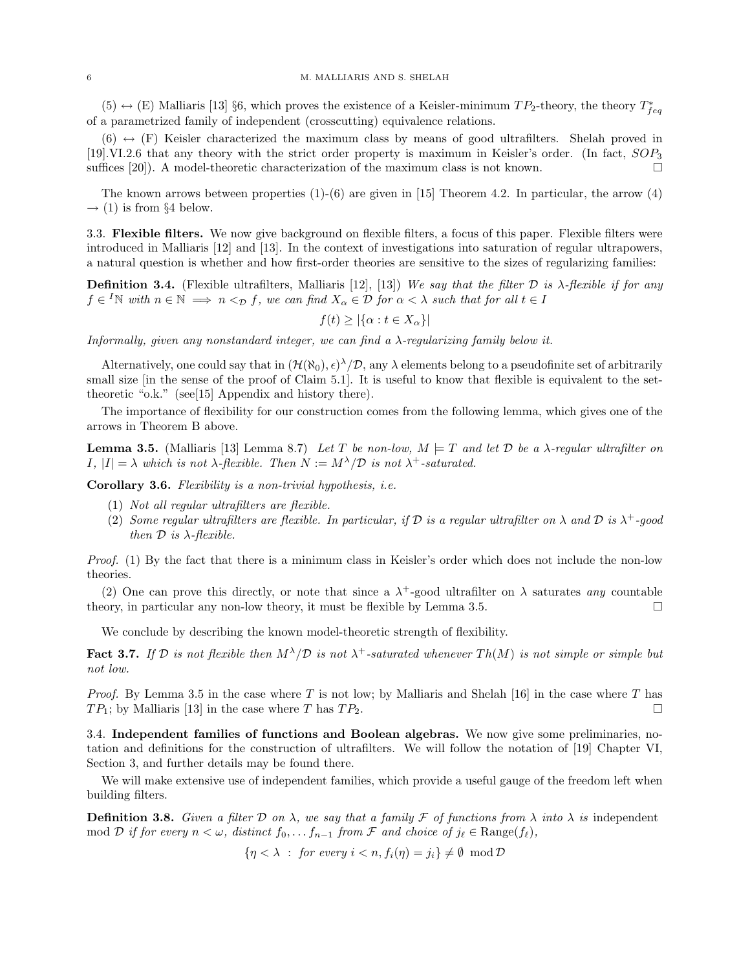$(5) \leftrightarrow (E)$  Malliaris [13] §6, which proves the existence of a Keisler-minimum  $TP_2$ -theory, the theory  $T_{feq}^*$ of a parametrized family of independent (crosscutting) equivalence relations.

 $(6) \leftrightarrow (F)$  Keisler characterized the maximum class by means of good ultrafilters. Shelah proved in [19].VI.2.6 that any theory with the strict order property is maximum in Keisler's order. (In fact, SOP<sup>3</sup> suffices [20]). A model-theoretic characterization of the maximum class is not known.

The known arrows between properties  $(1)-(6)$  are given in [15] Theorem 4.2. In particular, the arrow  $(4)$  $\rightarrow$  (1) is from §4 below.

3.3. Flexible filters. We now give background on flexible filters, a focus of this paper. Flexible filters were introduced in Malliaris [12] and [13]. In the context of investigations into saturation of regular ultrapowers, a natural question is whether and how first-order theories are sensitive to the sizes of regularizing families:

**Definition 3.4.** (Flexible ultrafilters, Malliaris [12], [13]) We say that the filter  $D$  is  $\lambda$ -flexible if for any  $f \in {}^{I}\mathbb{N}$  with  $n \in \mathbb{N} \implies n <_{\mathcal{D}} f$ , we can find  $X_{\alpha} \in \mathcal{D}$  for  $\alpha < \lambda$  such that for all  $t \in I$ 

$$
f(t) \ge |\{\alpha : t \in X_{\alpha}\}|
$$

Informally, given any nonstandard integer, we can find a  $\lambda$ -regularizing family below it.

Alternatively, one could say that in  $(\mathcal{H}(\aleph_0), \epsilon)^\lambda/\mathcal{D}$ , any  $\lambda$  elements belong to a pseudofinite set of arbitrarily small size [in the sense of the proof of Claim 5.1]. It is useful to know that flexible is equivalent to the settheoretic "o.k." (see[15] Appendix and history there).

The importance of flexibility for our construction comes from the following lemma, which gives one of the arrows in Theorem B above.

**Lemma 3.5.** (Malliaris [13] Lemma 8.7) Let T be non-low,  $M \models T$  and let D be a  $\lambda$ -regular ultrafilter on  $I, |I| = \lambda$  which is not  $\lambda$ -flexible. Then  $N := M^{\lambda}/\mathcal{D}$  is not  $\lambda^{+}$ -saturated.

Corollary 3.6. Flexibility is a non-trivial hypothesis, i.e.

- (1) Not all regular ultrafilters are flexible.
- (2) Some regular ultrafilters are flexible. In particular, if  $D$  is a regular ultrafilter on  $\lambda$  and  $D$  is  $\lambda^+$ -good then  $\mathcal D$  is  $\lambda$ -flexible.

Proof. (1) By the fact that there is a minimum class in Keisler's order which does not include the non-low theories.

(2) One can prove this directly, or note that since a  $\lambda^+$ -good ultrafilter on  $\lambda$  saturates any countable theory, in particular any non-low theory, it must be flexible by Lemma 3.5.

We conclude by describing the known model-theoretic strength of flexibility.

**Fact 3.7.** If D is not flexible then  $M^{\lambda}/D$  is not  $\lambda^{+}$ -saturated whenever  $Th(M)$  is not simple or simple but not low.

*Proof.* By Lemma 3.5 in the case where T is not low; by Malliaris and Shelah [16] in the case where T has  $TP_1$ ; by Malliaris [13] in the case where T has  $TP_2$ .

3.4. Independent families of functions and Boolean algebras. We now give some preliminaries, notation and definitions for the construction of ultrafilters. We will follow the notation of [19] Chapter VI, Section 3, and further details may be found there.

We will make extensive use of independent families, which provide a useful gauge of the freedom left when building filters.

**Definition 3.8.** Given a filter D on  $\lambda$ , we say that a family F of functions from  $\lambda$  into  $\lambda$  is independent mod D if for every  $n < \omega$ , distinct  $f_0, \ldots, f_{n-1}$  from F and choice of  $j_\ell \in \text{Range}(f_\ell)$ ,

$$
\{\eta < \lambda \; : \; \textit{for every } i < n, f_i(\eta) = j_i\} \neq \emptyset \; \bmod \mathcal{D}
$$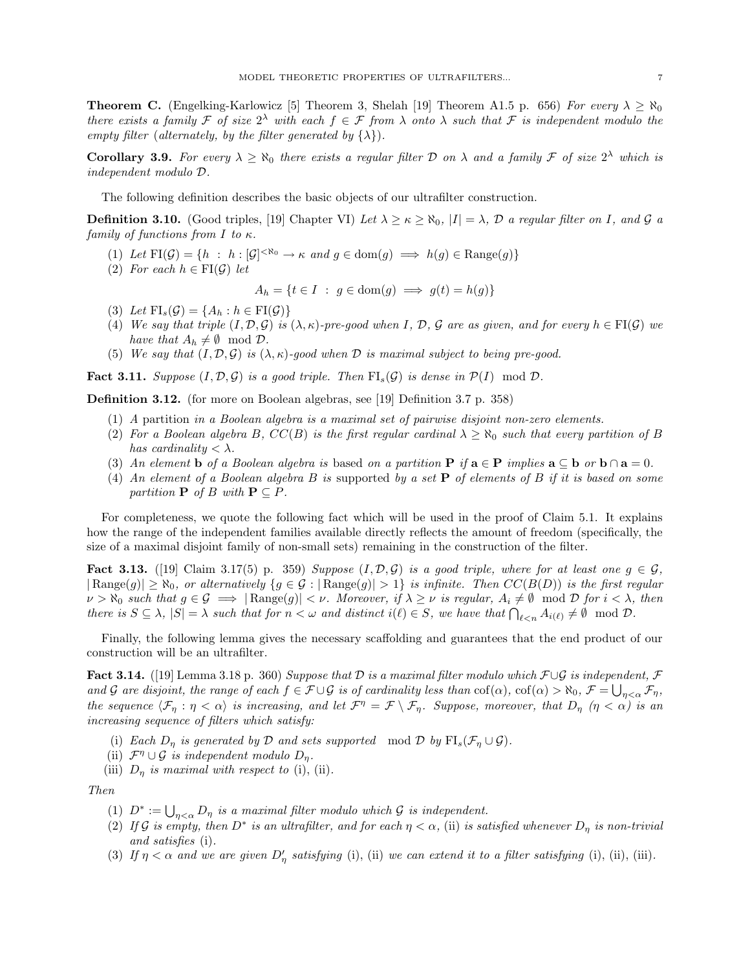**Theorem C.** (Engelking-Karlowicz [5] Theorem 3, Shelah [19] Theorem A1.5 p. 656) For every  $\lambda \ge \aleph_0$ there exists a family F of size  $2^{\lambda}$  with each  $f \in \mathcal{F}$  from  $\lambda$  onto  $\lambda$  such that F is independent modulo the empty filter (alternately, by the filter generated by  $\{\lambda\}$ ).

**Corollary 3.9.** For every  $\lambda \geq \aleph_0$  there exists a regular filter D on  $\lambda$  and a family F of size  $2^{\lambda}$  which is independent modulo D.

The following definition describes the basic objects of our ultrafilter construction.

**Definition 3.10.** (Good triples, [19] Chapter VI) Let  $\lambda \ge \kappa \ge \aleph_0$ ,  $|I| = \lambda$ , D a regular filter on I, and G a family of functions from I to  $\kappa$ .

- (1) Let  $\text{FI}(\mathcal{G}) = \{h : h : |\mathcal{G}|^{\langle \aleph_0} \to \kappa \text{ and } g \in \text{dom}(g) \implies h(g) \in \text{Range}(g)\}\$
- (2) For each  $h \in \mathrm{FI}(\mathcal{G})$  let

 $A_h = \{t \in I : g \in \text{dom}(g) \implies g(t) = h(g)\}\$ 

- (3) Let  $\text{FI}_s(\mathcal{G}) = \{A_h : h \in \text{FI}(\mathcal{G})\}$
- (4) We say that triple  $(I, \mathcal{D}, \mathcal{G})$  is  $(\lambda, \kappa)$ -pre-good when I, D, G are as given, and for every  $h \in \mathrm{FI}(\mathcal{G})$  we have that  $A_h \neq \emptyset \mod \mathcal{D}$ .
- (5) We say that  $(I, \mathcal{D}, \mathcal{G})$  is  $(\lambda, \kappa)$ -good when  $\mathcal D$  is maximal subject to being pre-good.

**Fact 3.11.** Suppose  $(I, \mathcal{D}, \mathcal{G})$  is a good triple. Then  $FI_s(\mathcal{G})$  is dense in  $\mathcal{P}(I) \mod \mathcal{D}$ .

Definition 3.12. (for more on Boolean algebras, see [19] Definition 3.7 p. 358)

- (1) A partition in a Boolean algebra is a maximal set of pairwise disjoint non-zero elements.
- (2) For a Boolean algebra B,  $CC(B)$  is the first regular cardinal  $\lambda \geq \aleph_0$  such that every partition of B has cardinality  $\langle \lambda \rangle$ .
- (3) An element b of a Boolean algebra is based on a partition P if  $\mathbf{a} \in \mathbf{P}$  implies  $\mathbf{a} \subseteq \mathbf{b}$  or  $\mathbf{b} \cap \mathbf{a} = 0$ .
- (4) An element of a Boolean algebra B is supported by a set **P** of elements of B if it is based on some partition  $P$  of B with  $P \subseteq P$ .

For completeness, we quote the following fact which will be used in the proof of Claim 5.1. It explains how the range of the independent families available directly reflects the amount of freedom (specifically, the size of a maximal disjoint family of non-small sets) remaining in the construction of the filter.

**Fact 3.13.** ([19] Claim 3.17(5) p. 359) Suppose  $(I, \mathcal{D}, \mathcal{G})$  is a good triple, where for at least one  $g \in \mathcal{G}$ ,  $|\text{Range}(g)| \geq \aleph_0$ , or alternatively  $\{g \in \mathcal{G} : |\text{Range}(g)| > 1\}$  is infinite. Then  $CC(B(D))$  is the first regular  $\nu > \aleph_0$  such that  $g \in \mathcal{G} \implies |\text{Range}(g)| < \nu$ . Moreover, if  $\lambda \geq \nu$  is regular,  $A_i \neq \emptyset \mod \mathcal{D}$  for  $i < \lambda$ , then there is  $S \subseteq \lambda$ ,  $|S| = \lambda$  such that for  $n < \omega$  and distinct  $i(\ell) \in S$ , we have that  $\bigcap_{\ell \leq n} A_{i(\ell)} \neq \emptyset \mod \mathcal{D}$ .

Finally, the following lemma gives the necessary scaffolding and guarantees that the end product of our construction will be an ultrafilter.

Fact 3.14. ([19] Lemma 3.18 p. 360) Suppose that D is a maximal filter modulo which  $\mathcal{F}\cup\mathcal{G}$  is independent,  $\mathcal F$ and G are disjoint, the range of each  $f \in \mathcal{F} \cup \mathcal{G}$  is of cardinality less than  $\text{cof}(\alpha)$ ,  $\text{cof}(\alpha) > \aleph_0$ ,  $\mathcal{F} = \bigcup_{\eta < \alpha} \mathcal{F}_{\eta}$ , the sequence  $\langle \mathcal{F}_\eta : \eta < \alpha \rangle$  is increasing, and let  $\mathcal{F}^\eta = \mathcal{F} \setminus \mathcal{F}_\eta$ . Suppose, moreover, that  $D_\eta$   $(\eta < \alpha)$  is an increasing sequence of filters which satisfy:

- (i) Each  $D_{\eta}$  is generated by  $\mathcal D$  and sets supported mod  $\mathcal D$  by  $\mathrm{FI}_s(\mathcal F_{\eta}\cup\mathcal G)$ .
- (ii)  $\mathcal{F}^{\eta} \cup \mathcal{G}$  is independent modulo  $D_{\eta}$ .
- (iii)  $D_n$  is maximal with respect to (i), (ii).

Then

- (1)  $D^* := \bigcup_{\eta < \alpha} D_{\eta}$  is a maximal filter modulo which  $\mathcal G$  is independent.
- (2) If G is empty, then  $D^*$  is an ultrafilter, and for each  $\eta < \alpha$ , (ii) is satisfied whenever  $D_\eta$  is non-trivial and satisfies (i).
- (3) If  $\eta < \alpha$  and we are given  $D'_\eta$  satisfying (i), (ii) we can extend it to a filter satisfying (i), (ii), (iii).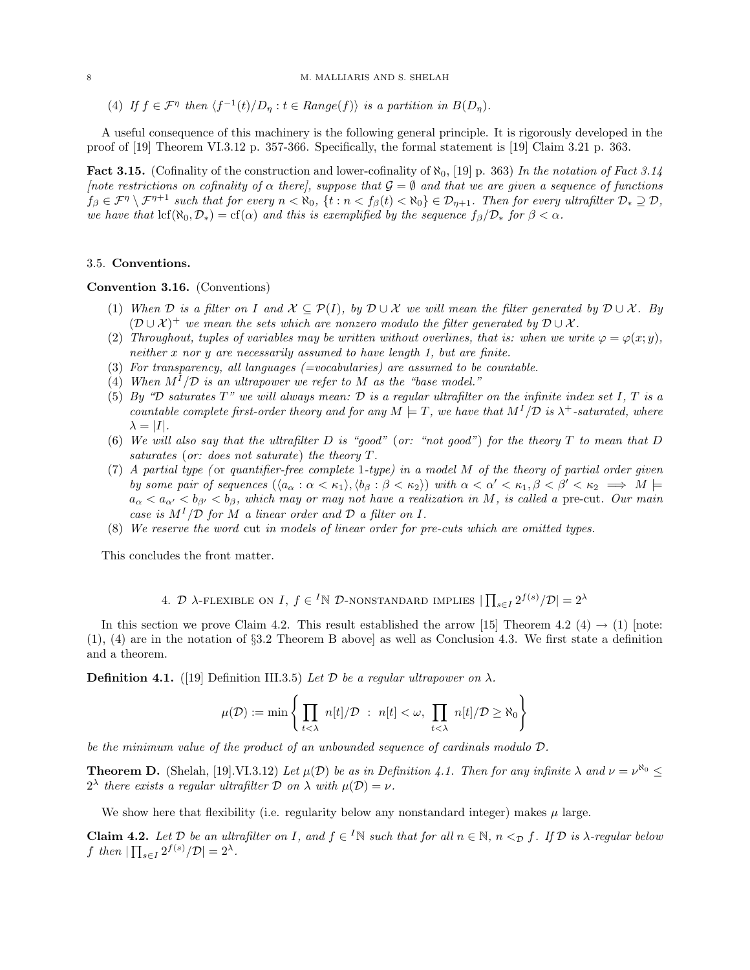(4) If  $f \in \mathcal{F}^{\eta}$  then  $\langle f^{-1}(t)/D_{\eta} : t \in Range(f) \rangle$  is a partition in  $B(D_{\eta})$ .

A useful consequence of this machinery is the following general principle. It is rigorously developed in the proof of [19] Theorem VI.3.12 p. 357-366. Specifically, the formal statement is [19] Claim 3.21 p. 363.

**Fact 3.15.** (Cofinality of the construction and lower-cofinality of  $\aleph_0$ , [19] p. 363) In the notation of Fact 3.14 [note restrictions on cofinality of  $\alpha$  there], suppose that  $\mathcal{G} = \emptyset$  and that we are given a sequence of functions  $f_\beta \in \mathcal{F}^{\eta} \setminus \mathcal{F}^{\eta+1}$  such that for every  $n < \aleph_0$ ,  $\{t : n < f_\beta(t) < \aleph_0\} \in \mathcal{D}_{\eta+1}$ . Then for every ultrafilter  $\mathcal{D}_* \supseteq \mathcal{D}$ , we have that  $\text{lcf}(\aleph_0,\mathcal{D}_*) = \text{cf}(\alpha)$  and this is exemplified by the sequence  $f_\beta/\mathcal{D}_*$  for  $\beta < \alpha$ .

# 3.5. Conventions.

#### Convention 3.16. (Conventions)

- (1) When D is a filter on I and  $\mathcal{X} \subseteq \mathcal{P}(I)$ , by  $\mathcal{D} \cup \mathcal{X}$  we will mean the filter generated by  $\mathcal{D} \cup \mathcal{X}$ . By  $(\mathcal{D} \cup \mathcal{X})^+$  we mean the sets which are nonzero modulo the filter generated by  $\mathcal{D} \cup \mathcal{X}$ .
- (2) Throughout, tuples of variables may be written without overlines, that is: when we write  $\varphi = \varphi(x; y)$ , neither x nor y are necessarily assumed to have length 1, but are finite.
- (3) For transparency, all languages  $(=vocalularies)$  are assumed to be countable.
- (4) When  $M^{I}/\mathcal{D}$  is an ultrapower we refer to M as the "base model."
- (5) By "D saturates  $T$ " we will always mean: D is a regular ultrafilter on the infinite index set I, T is a countable complete first-order theory and for any  $M \models T$ , we have that  $M^{I}/\mathcal{D}$  is  $\lambda^{+}$ -saturated, where  $\lambda = |I|.$
- (6) We will also say that the ultrafilter  $D$  is "good" (or: "not good") for the theory  $T$  to mean that  $D$ saturates (or: does not saturate) the theory T.
- (7) A partial type (or quantifier-free complete 1-type) in a model  $M$  of the theory of partial order given by some pair of sequences  $(\langle a_\alpha : \alpha < \kappa_1 \rangle, \langle b_\beta : \beta < \kappa_2 \rangle)$  with  $\alpha < \alpha' < \kappa_1, \beta < \beta' < \kappa_2 \implies M \models$  $a_{\alpha} < a_{\alpha'} < b_{\beta'} < b_{\beta}$ , which may or may not have a realization in M, is called a pre-cut. Our main case is  $M^{1}/\mathcal{D}$  for M a linear order and  $\mathcal{D}$  a filter on I.
- (8) We reserve the word cut in models of linear order for pre-cuts which are omitted types.

This concludes the front matter.

4. 
$$
\mathcal{D}
$$
  $\lambda$ -flexible on I,  $f \in {}^{I}N \mathcal{D}$ -nonstrandard implies  $|\prod_{s \in I} 2^{f(s)}/\mathcal{D}| = 2^{\lambda}$ 

In this section we prove Claim 4.2. This result established the arrow [15] Theorem 4.2 (4)  $\rightarrow$  (1) [note: (1), (4) are in the notation of §3.2 Theorem B above] as well as Conclusion 4.3. We first state a definition and a theorem.

**Definition 4.1.** ([19] Definition III.3.5) Let D be a regular ultrapower on  $\lambda$ .

$$
\mu(\mathcal{D}) := \min \left\{ \prod_{t < \lambda} n[t] / \mathcal{D} \ : \ n[t] < \omega, \prod_{t < \lambda} n[t] / \mathcal{D} \geq \aleph_0 \right\}
$$

be the minimum value of the product of an unbounded sequence of cardinals modulo D.

**Theorem D.** (Shelah, [19].VI.3.12) Let  $\mu(\mathcal{D})$  be as in Definition 4.1. Then for any infinite  $\lambda$  and  $\nu = \nu^{\aleph_0} \leq$  $2^{\lambda}$  there exists a regular ultrafilter D on  $\lambda$  with  $\mu(\mathcal{D}) = \nu$ .

We show here that flexibility (i.e. regularity below any nonstandard integer) makes  $\mu$  large.

**Claim 4.2.** Let  $D$  be an ultrafilter on I, and  $f \in {}^I\mathbb{N}$  such that for all  $n \in \mathbb{N}$ ,  $n <_D f$ . If  $D$  is  $\lambda$ -regular below f then  $|\prod_{s\in I} 2^{f(s)}/\mathcal{D}| = 2^{\lambda}$ .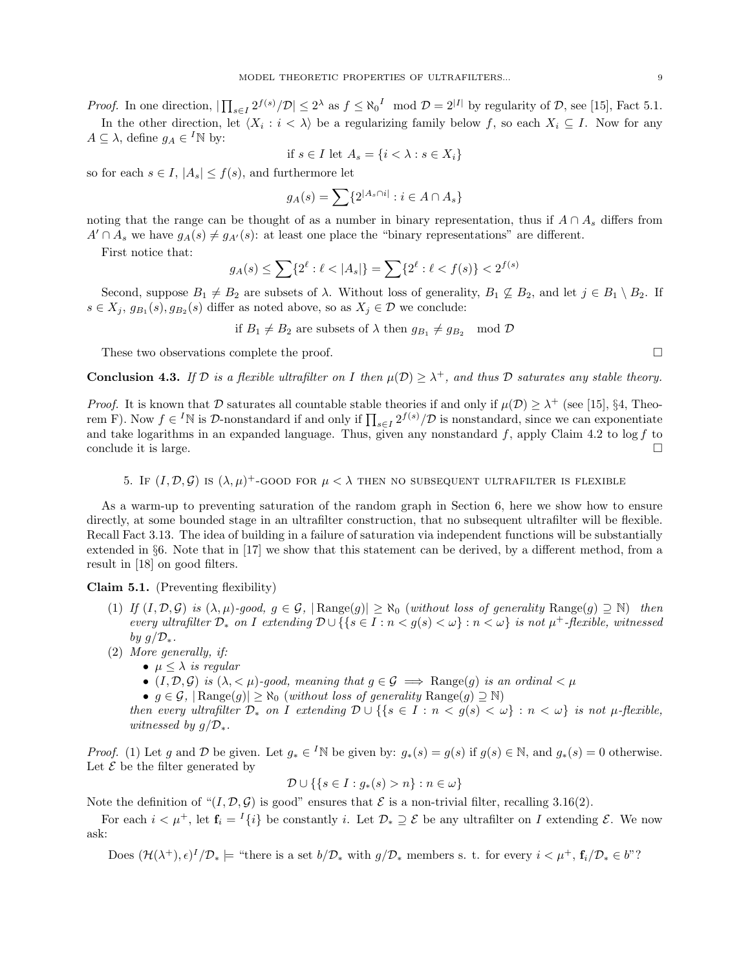*Proof.* In one direction,  $|\prod_{s\in I} 2^{f(s)}/\mathcal{D}| \leq 2^{\lambda}$  as  $f \leq \aleph_0^I \mod \mathcal{D} = 2^{|I|}$  by regularity of  $\mathcal{D}$ , see [15], Fact 5.1.

In the other direction, let  $\langle X_i : i \langle \lambda \rangle$  be a regularizing family below f, so each  $X_i \subseteq I$ . Now for any  $A \subseteq \lambda$ , define  $g_A \in {}^I\mathbb{N}$  by:

if 
$$
s \in I
$$
 let  $A_s = \{i < \lambda : s \in X_i\}$ 

so for each  $s \in I$ ,  $|A_s| \leq f(s)$ , and furthermore let

$$
g_A(s) = \sum \{ 2^{|A_s \cap i|} : i \in A \cap A_s \}
$$

noting that the range can be thought of as a number in binary representation, thus if  $A \cap A_s$  differs from  $A' \cap A_s$  we have  $g_A(s) \neq g_{A'}(s)$ : at least one place the "binary representations" are different.

First notice that:

$$
g_A(s) \le \sum \{ 2^{\ell} : \ell < |A_s| \} = \sum \{ 2^{\ell} : \ell < f(s) \} < 2^{f(s)}
$$

Second, suppose  $B_1 \neq B_2$  are subsets of  $\lambda$ . Without loss of generality,  $B_1 \nsubseteq B_2$ , and let  $j \in B_1 \setminus B_2$ . If  $s \in X_j$ ,  $g_{B_1}(s)$ ,  $g_{B_2}(s)$  differ as noted above, so as  $X_j \in \mathcal{D}$  we conclude:

if  $B_1 \neq B_2$  are subsets of  $\lambda$  then  $g_{B_1} \neq g_{B_2} \mod \mathcal{D}$ 

These two observations complete the proof.

**Conclusion 4.3.** If D is a flexible ultrafilter on I then  $\mu(\mathcal{D}) \geq \lambda^+$ , and thus D saturates any stable theory.

*Proof.* It is known that D saturates all countable stable theories if and only if  $\mu(\mathcal{D}) \geq \lambda^+$  (see [15], §4, Theorem F). Now  $f \in {}^{I}\mathbb{N}$  is  $D$ -nonstandard if and only if  $\prod_{s \in I} 2^{f(s)}/D$  is nonstandard, since we can exponentiate and take logarithms in an expanded language. Thus, given any nonstandard  $f$ , apply Claim 4.2 to log f to conclude it is large.  $\Box$ 

5. If  $(I, \mathcal{D}, \mathcal{G})$  is  $(\lambda, \mu)^+$ -GOOD for  $\mu < \lambda$  then no subsequent ultrafilter is flexible

As a warm-up to preventing saturation of the random graph in Section 6, here we show how to ensure directly, at some bounded stage in an ultrafilter construction, that no subsequent ultrafilter will be flexible. Recall Fact 3.13. The idea of building in a failure of saturation via independent functions will be substantially extended in §6. Note that in [17] we show that this statement can be derived, by a different method, from a result in [18] on good filters.

Claim 5.1. (Preventing flexibility)

- (1) If  $(I, \mathcal{D}, \mathcal{G})$  is  $(\lambda, \mu)$ -good,  $g \in \mathcal{G}$ ,  $|\text{Range}(g)| \geq \aleph_0$  (without loss of generality  $\text{Range}(g) \supseteq \aleph$ ) then every ultrafilter  $\mathcal{D}_*$  on I extending  $\mathcal{D} \cup \{ \{ s \in I : n < g(s) < \omega \} : n < \omega \}$  is not  $\mu^+$ -flexible, witnessed by  $g/\mathcal{D}_{*}$ .
- (2) More generally, if:
	- $\mu \leq \lambda$  is regular
		- $(I, \mathcal{D}, \mathcal{G})$  is  $(\lambda, \langle \mu \rangle)$ -good, meaning that  $g \in \mathcal{G} \implies \text{Range}(g)$  is an ordinal  $\langle \mu \rangle$
		- $g \in \mathcal{G}$ ,  $|\text{Range}(g)| \geq \aleph_0$  (without loss of generality  $\text{Range}(g) \supseteq \aleph$ )

then every ultrafilter  $\mathcal{D}_*$  on I extending  $\mathcal{D} \cup \{ \{ s \in I : n < g(s) < \omega \} : n < \omega \}$  is not  $\mu$ -flexible, witnessed by  $g/\mathcal{D}_{*}$ .

*Proof.* (1) Let g and D be given. Let  $g_* \in {}^I\mathbb{N}$  be given by:  $g_*(s) = g(s)$  if  $g(s) \in \mathbb{N}$ , and  $g_*(s) = 0$  otherwise. Let  $\mathcal E$  be the filter generated by

$$
\mathcal{D} \cup \{ \{ s \in I : g_*(s) > n \} : n \in \omega \}
$$

Note the definition of " $(I, \mathcal{D}, \mathcal{G})$  is good" ensures that  $\mathcal E$  is a non-trivial filter, recalling 3.16(2).

For each  $i < \mu^+$ , let  $f_i = {}^I{\{i\}}$  be constantly i. Let  $\mathcal{D}_* \supseteq \mathcal{E}$  be any ultrafilter on I extending  $\mathcal{E}$ . We now ask:

Does  $(\mathcal{H}(\lambda^+), \epsilon)^I/\mathcal{D}_*$   $\models$  "there is a set  $b/\mathcal{D}_*$  with  $g/\mathcal{D}_*$  members s. t. for every  $i < \mu^+, \mathbf{f}_i/\mathcal{D}_* \in b$ "?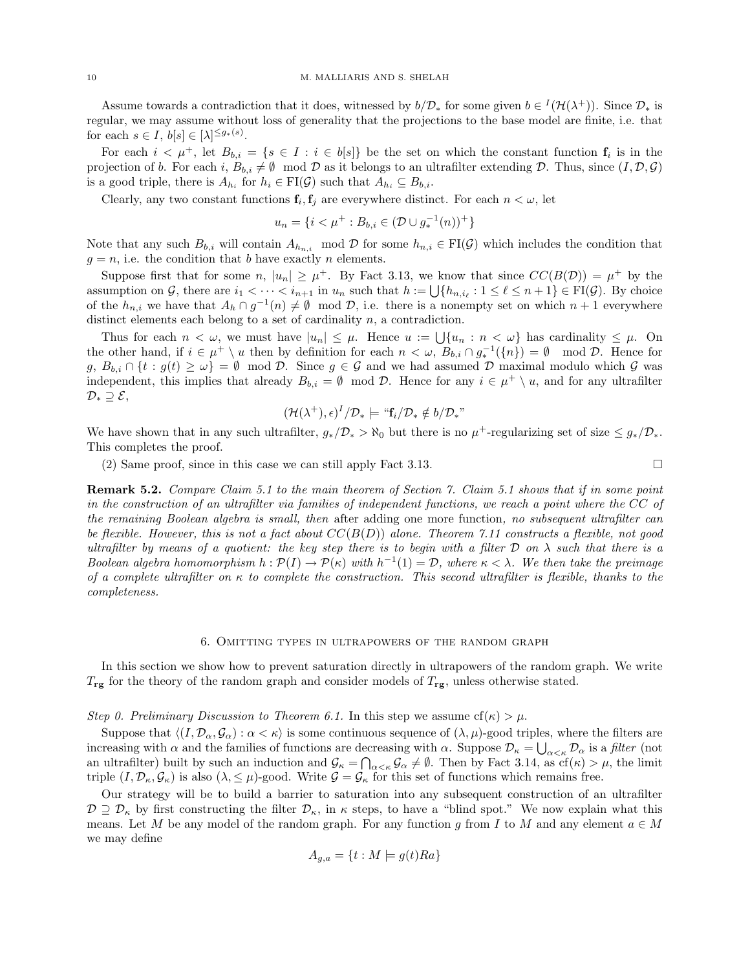Assume towards a contradiction that it does, witnessed by  $b/\mathcal{D}_*$  for some given  $b \in {}^I(\mathcal{H}(\lambda^+))$ . Since  $\mathcal{D}_*$  is regular, we may assume without loss of generality that the projections to the base model are finite, i.e. that for each  $s \in I$ ,  $b[s] \in [\lambda]^{\leq g_*(s)}$ .

For each  $i < \mu^+$ , let  $B_{b,i} = \{s \in I : i \in b[s]\}$  be the set on which the constant function  $f_i$  is in the projection of b. For each i,  $B_{b,i} \neq \emptyset$  mod  $\mathcal D$  as it belongs to an ultrafilter extending  $\mathcal D$ . Thus, since  $(I, \mathcal D, \mathcal G)$ is a good triple, there is  $A_{h_i}$  for  $h_i \in \text{FI}(\mathcal{G})$  such that  $A_{h_i} \subseteq B_{b,i}$ .

Clearly, any two constant functions  $f_i, f_j$  are everywhere distinct. For each  $n < \omega$ , let

$$
u_n = \{ i < \mu^+ : B_{b,i} \in (\mathcal{D} \cup g_*^{-1}(n))^+ \}
$$

Note that any such  $B_{b,i}$  will contain  $A_{h_{n,i}}$  mod D for some  $h_{n,i} \in \mathrm{FI}(\mathcal{G})$  which includes the condition that  $g = n$ , i.e. the condition that b have exactly n elements.

Suppose first that for some n,  $|u_n| \geq \mu^+$ . By Fact 3.13, we know that since  $CC(B(\mathcal{D})) = \mu^+$  by the assumption on G, there are  $i_1 < \cdots < i_{n+1}$  in  $u_n$  such that  $h := \bigcup \{h_{n,i_\ell} : 1 \leq \ell \leq n+1\} \in \mathrm{FI}(\mathcal{G})$ . By choice of the  $h_{n,i}$  we have that  $A_h \cap g^{-1}(n) \neq \emptyset$  mod  $\mathcal{D}$ , i.e. there is a nonempty set on which  $n+1$  everywhere distinct elements each belong to a set of cardinality  $n$ , a contradiction.

Thus for each  $n < \omega$ , we must have  $|u_n| \leq \mu$ . Hence  $u := \bigcup \{u_n : n < \omega\}$  has cardinality  $\leq \mu$ . On the other hand, if  $i \in \mu^+ \setminus u$  then by definition for each  $n < \omega$ ,  $B_{b,i} \cap g_*^{-1}(\{n\}) = \emptyset \mod \mathcal{D}$ . Hence for  $g, B_{b,i} \cap \{t : g(t) \geq \omega\} = \emptyset \mod \mathcal{D}$ . Since  $g \in \mathcal{G}$  and we had assumed  $\mathcal{D}$  maximal modulo which  $\mathcal{G}$  was independent, this implies that already  $B_{b,i} = \emptyset \mod \mathcal{D}$ . Hence for any  $i \in \mu^+ \setminus u$ , and for any ultrafilter  $\mathcal{D}_*\supseteq \mathcal{E},$ 

$$
(\mathcal{H}(\lambda^+),\epsilon)^I/\mathcal{D}_*\models ``{\bf f}_i/\mathcal{D}_*\notin b/\mathcal{D}_*"
$$

We have shown that in any such ultrafilter,  $g_*/\mathcal{D}_* > \aleph_0$  but there is no  $\mu^+$ -regularizing set of size  $\leq g_*/\mathcal{D}_*$ . This completes the proof.

(2) Same proof, since in this case we can still apply Fact 3.13.  $\square$ 

Remark 5.2. Compare Claim 5.1 to the main theorem of Section 7. Claim 5.1 shows that if in some point in the construction of an ultrafilter via families of independent functions, we reach a point where the CC of the remaining Boolean algebra is small, then after adding one more function, no subsequent ultrafilter can be flexible. However, this is not a fact about  $CC(B(D))$  alone. Theorem 7.11 constructs a flexible, not good ultrafilter by means of a quotient: the key step there is to begin with a filter  $\mathcal D$  on  $\lambda$  such that there is a Boolean algebra homomorphism  $h: \mathcal{P}(I) \to \mathcal{P}(\kappa)$  with  $h^{-1}(1) = \mathcal{D}$ , where  $\kappa < \lambda$ . We then take the preimage of a complete ultrafilter on  $\kappa$  to complete the construction. This second ultrafilter is flexible, thanks to the completeness.

#### 6. Omitting types in ultrapowers of the random graph

In this section we show how to prevent saturation directly in ultrapowers of the random graph. We write  $T_{\rm rg}$  for the theory of the random graph and consider models of  $T_{\rm rg}$ , unless otherwise stated.

Step 0. Preliminary Discussion to Theorem 6.1. In this step we assume  $cf(\kappa) > \mu$ .

Suppose that  $\langle (I, \mathcal{D}_{\alpha}, \mathcal{G}_{\alpha}) : \alpha < \kappa \rangle$  is some continuous sequence of  $(\lambda, \mu)$ -good triples, where the filters are increasing with  $\alpha$  and the families of functions are decreasing with  $\alpha$ . Suppose  $\mathcal{D}_{\kappa} = \bigcup_{\alpha<\kappa} \mathcal{D}_{\alpha}$  is a filter (not an ultrafilter) built by such an induction and  $\mathcal{G}_{\kappa} = \bigcap_{\alpha<\kappa} \mathcal{G}_{\alpha} \neq \emptyset$ . Then by Fact 3.14, as  $cf(\kappa) > \mu$ , the limit triple  $(I, \mathcal{D}_{\kappa}, \mathcal{G}_{\kappa})$  is also  $(\lambda, \leq \mu)$ -good. Write  $\mathcal{G} = \mathcal{G}_{\kappa}$  for this set of functions which remains free.

Our strategy will be to build a barrier to saturation into any subsequent construction of an ultrafilter  $\mathcal{D} \supseteq \mathcal{D}_{\kappa}$  by first constructing the filter  $\mathcal{D}_{\kappa}$ , in  $\kappa$  steps, to have a "blind spot." We now explain what this means. Let M be any model of the random graph. For any function q from I to M and any element  $a \in M$ we may define

$$
A_{g,a} = \{ t : M \models g(t)Ra \}
$$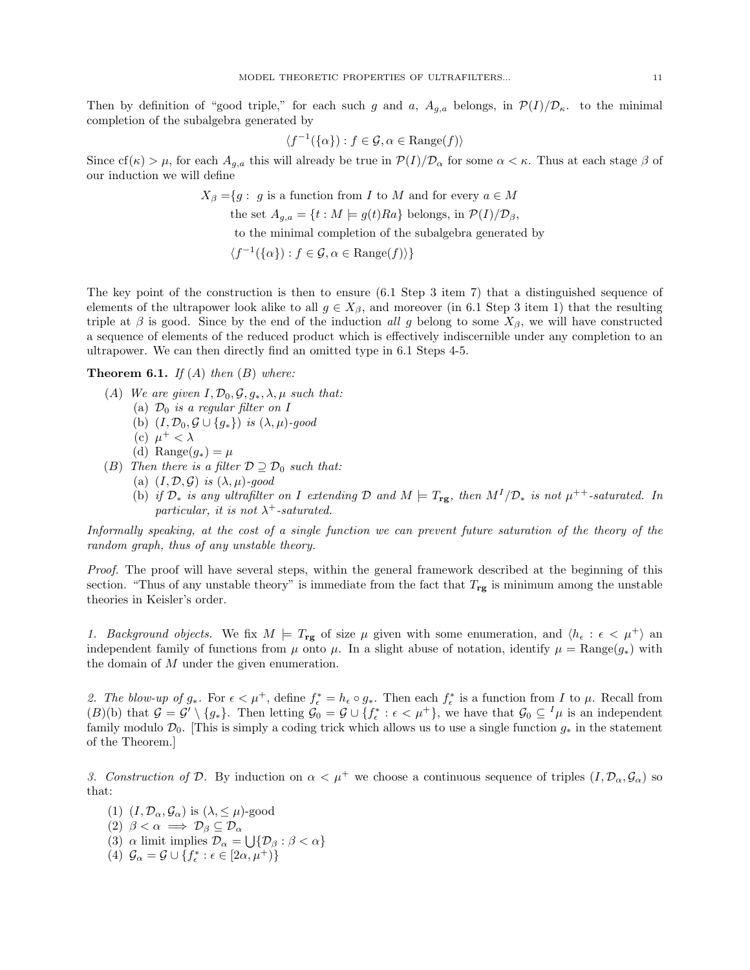Then by definition of "good triple," for each such g and a,  $A_{g,a}$  belongs, in  $\mathcal{P}(I)/\mathcal{D}_\kappa$ . to the minimal completion of the subalgebra generated by

$$
\langle f^{-1}(\{\alpha\}) : f \in \mathcal{G}, \alpha \in \text{Range}(f) \rangle
$$

Since cf( $\kappa$ ) >  $\mu$ , for each  $A_{g,a}$  this will already be true in  $\mathcal{P}(I)/\mathcal{D}_{\alpha}$  for some  $\alpha < \kappa$ . Thus at each stage  $\beta$  of our induction we will define

> $X_{\beta} = \{g : g \text{ is a function from } I \text{ to } M \text{ and for every } a \in M\}$ the set  $A_{g,a} = \{t : M \models g(t)Ra\}$  belongs, in  $\mathcal{P}(I)/\mathcal{D}_{\beta}$ ,

to the minimal completion of the subalgebra generated by

$$
\langle f^{-1}(\{\alpha\}) : f \in \mathcal{G}, \alpha \in \text{Range}(f) \rangle \}
$$

The key point of the construction is then to ensure (6.1 Step 3 item 7) that a distinguished sequence of elements of the ultrapower look alike to all  $g \in X_\beta$ , and moreover (in 6.1 Step 3 item 1) that the resulting triple at  $\beta$  is good. Since by the end of the induction all g belong to some  $X_{\beta}$ , we will have constructed a sequence of elements of the reduced product which is effectively indiscernible under any completion to an ultrapower. We can then directly find an omitted type in 6.1 Steps 4-5.

# **Theorem 6.1.** If  $(A)$  then  $(B)$  where:

- (A) We are given  $I, \mathcal{D}_0, \mathcal{G}, g_*, \lambda, \mu$  such that:
	- (a)  $\mathcal{D}_0$  is a regular filter on I
	- (b)  $(I, \mathcal{D}_0, \mathcal{G} \cup \{g_*\})$  is  $(\lambda, \mu)$ -good
	- (c)  $\mu^+ < \lambda$
	- (d) Range $(g_*) = \mu$
- (B) Then there is a filter  $\mathcal{D} \supseteq \mathcal{D}_0$  such that:
	- (a)  $(I, \mathcal{D}, \mathcal{G})$  is  $(\lambda, \mu)$ -good
	- (b) if  $\mathcal{D}_*$  is any ultrafilter on I extending  $\mathcal{D}$  and  $M \models T_{\text{rg}}$ , then  $M^I/\mathcal{D}_*$  is not  $\mu^{++}$ -saturated. In particular, it is not  $\lambda^+$ -saturated.

Informally speaking, at the cost of a single function we can prevent future saturation of the theory of the random graph, thus of any unstable theory.

Proof. The proof will have several steps, within the general framework described at the beginning of this section. "Thus of any unstable theory" is immediate from the fact that  $T_{\text{rg}}$  is minimum among the unstable theories in Keisler's order.

1. Background objects. We fix  $M \models T_{\text{rg}}$  of size  $\mu$  given with some enumeration, and  $\langle h_{\epsilon} : \epsilon \langle \mu^+ \rangle$  an independent family of functions from  $\mu$  onto  $\mu$ . In a slight abuse of notation, identify  $\mu = \text{Range}(g_*)$  with the domain of M under the given enumeration.

2. The blow-up of  $g_*$ . For  $\epsilon < \mu^+$ , define  $f_*^* = h_{\epsilon} \circ g_*$ . Then each  $f_{\epsilon}^*$  is a function from I to  $\mu$ . Recall from  $(B)(b)$  that  $\mathcal{G} = \mathcal{G}' \setminus \{g_*\}.$  Then letting  $\mathcal{G}_0 = \mathcal{G} \cup \{f_*^* : \epsilon < \mu^+\}$ , we have that  $\mathcal{G}_0 \subseteq {}^I\mu$  is an independent family modulo  $\mathcal{D}_0$ . [This is simply a coding trick which allows us to use a single function  $g_*$  in the statement of the Theorem.]

3. Construction of D. By induction on  $\alpha < \mu^+$  we choose a continuous sequence of triples  $(I, \mathcal{D}_{\alpha}, \mathcal{G}_{\alpha})$  so that:

(1)  $(I, \mathcal{D}_{\alpha}, \mathcal{G}_{\alpha})$  is  $(\lambda, \leq \mu)$ -good (2)  $\beta < \alpha \implies \mathcal{D}_{\beta} \subseteq \mathcal{D}_{\alpha}$ (3)  $\alpha$  limit implies  $\mathcal{D}_{\alpha} = \bigcup \{ \mathcal{D}_{\beta} : \beta < \alpha \}$ (4)  $\mathcal{G}_{\alpha} = \mathcal{G} \cup \{f_{\epsilon}^* : \epsilon \in [2\alpha, \mu^+)\}\$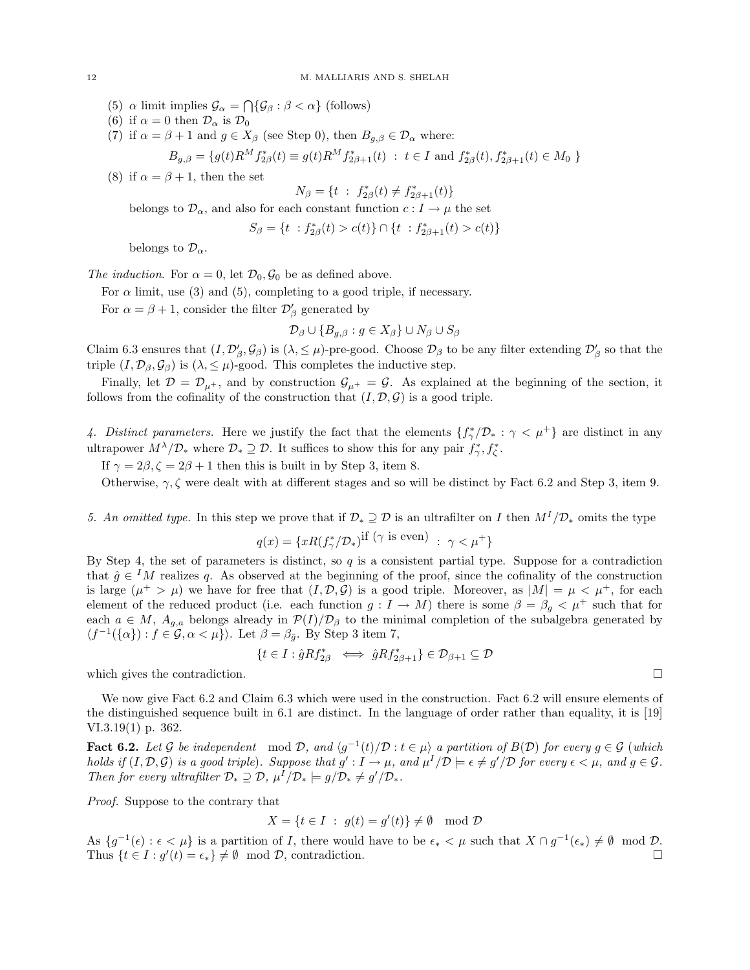- (5)  $\alpha$  limit implies  $\mathcal{G}_{\alpha} = \bigcap \{ \mathcal{G}_{\beta} : \beta < \alpha \}$  (follows)
- (6) if  $\alpha = 0$  then  $\mathcal{D}_{\alpha}$  is  $\mathcal{D}_{0}$
- (7) if  $\alpha = \beta + 1$  and  $g \in X_{\beta}$  (see Step 0), then  $B_{a,\beta} \in \mathcal{D}_{\alpha}$  where:

$$
B_{g,\beta} = \{ g(t)R^M f_{2\beta}^*(t) \equiv g(t)R^M f_{2\beta+1}^*(t) : t \in I \text{ and } f_{2\beta}^*(t), f_{2\beta+1}^*(t) \in M_0 \}
$$

(8) if  $\alpha = \beta + 1$ , then the set

$$
N_{\beta} = \{ t : f_{2\beta}^{*}(t) \neq f_{2\beta+1}^{*}(t) \}
$$

belongs to  $\mathcal{D}_{\alpha}$ , and also for each constant function  $c: I \to \mu$  the set

$$
S_{\beta} = \{ t : f_{2\beta}^*(t) > c(t) \} \cap \{ t : f_{2\beta+1}^*(t) > c(t) \}
$$

belongs to  $\mathcal{D}_{\alpha}$ .

The induction. For  $\alpha = 0$ , let  $\mathcal{D}_0, \mathcal{G}_0$  be as defined above.

For  $\alpha$  limit, use (3) and (5), completing to a good triple, if necessary.

For  $\alpha = \beta + 1$ , consider the filter  $\mathcal{D}'_{\beta}$  generated by

$$
\mathcal{D}_{\beta}\cup\{B_{g,\beta}:g\in X_{\beta}\}\cup N_{\beta}\cup S_{\beta}
$$

Claim 6.3 ensures that  $(I, \mathcal{D}'_{\beta}, \mathcal{G}_{\beta})$  is  $(\lambda, \leq \mu)$ -pre-good. Choose  $\mathcal{D}_{\beta}$  to be any filter extending  $\mathcal{D}'_{\beta}$  so that the triple  $(I, \mathcal{D}_{\beta}, \mathcal{G}_{\beta})$  is  $(\lambda, \leq \mu)$ -good. This completes the inductive step.

Finally, let  $\mathcal{D} = \mathcal{D}_{\mu^+}$ , and by construction  $\mathcal{G}_{\mu^+} = \mathcal{G}$ . As explained at the beginning of the section, it follows from the cofinality of the construction that  $(I, \mathcal{D}, \mathcal{G})$  is a good triple.

4. Distinct parameters. Here we justify the fact that the elements  $\{f^*_{\gamma}/\mathcal{D}_* : \gamma < \mu^+\}$  are distinct in any ultrapower  $M^{\lambda}/\mathcal{D}_{*}$  where  $\mathcal{D}_{*} \supseteq \mathcal{D}$ . It suffices to show this for any pair  $f_{\gamma}^{*}, f_{\zeta}^{*}$ .

If  $\gamma = 2\beta, \zeta = 2\beta + 1$  then this is built in by Step 3, item 8.

Otherwise,  $\gamma$ ,  $\zeta$  were dealt with at different stages and so will be distinct by Fact 6.2 and Step 3, item 9.

5. An omitted type. In this step we prove that if  $\mathcal{D}_* \supseteq \mathcal{D}$  is an ultrafilter on I then  $M^I/\mathcal{D}_*$  omits the type

$$
q(x) = \{xR(f^*_{\gamma}/\mathcal{D}_*)\text{if } (\gamma \text{ is even}) \ : \ \gamma < \mu^+\}
$$

By Step 4, the set of parameters is distinct, so  $q$  is a consistent partial type. Suppose for a contradiction that  $\hat{g} \in M$  realizes q. As observed at the beginning of the proof, since the cofinality of the construction is large  $(\mu^+ > \mu)$  we have for free that  $(I, \mathcal{D}, \mathcal{G})$  is a good triple. Moreover, as  $|M| = \mu < \mu^+$ , for each element of the reduced product (i.e. each function  $g: I \to M$ ) there is some  $\beta = \beta_g < \mu^+$  such that for each  $a \in M$ ,  $A_{g,a}$  belongs already in  $\mathcal{P}(I)/\mathcal{D}_{\beta}$  to the minimal completion of the subalgebra generated by  $\langle f^{-1}(\{\alpha\}) : f \in \mathcal{G}, \alpha < \mu \} \rangle$ . Let  $\beta = \beta_{\hat{g}}$ . By Step 3 item 7,

$$
\{t \in I : \hat{g}Rf_{2\beta}^* \iff \hat{g}Rf_{2\beta+1}^*\} \in \mathcal{D}_{\beta+1} \subseteq \mathcal{D}
$$

which gives the contradiction.  $\Box$ 

We now give Fact 6.2 and Claim 6.3 which were used in the construction. Fact 6.2 will ensure elements of the distinguished sequence built in 6.1 are distinct. In the language of order rather than equality, it is [19] VI.3.19(1) p. 362.

**Fact 6.2.** Let G be independent mod D, and  $\langle g^{-1}(t)/D : t \in \mu \rangle$  a partition of  $B(D)$  for every  $g \in \mathcal{G}$  (which holds if  $(I, \mathcal{D}, \mathcal{G})$  is a good triple). Suppose that  $g': I \to \mu$ , and  $\mu^I/\mathcal{D} \models \epsilon \neq g'/\mathcal{D}$  for every  $\epsilon < \mu$ , and  $g \in \mathcal{G}$ . Then for every ultrafilter  $\mathcal{D}_* \supseteq \mathcal{D}$ ,  $\mu^I/\mathcal{D}_* \models g/\mathcal{D}_* \neq g'/\mathcal{D}_*$ .

Proof. Suppose to the contrary that

$$
X = \{ t \in I : g(t) = g'(t) \} \neq \emptyset \mod \mathcal{D}
$$

As  $\{g^{-1}(\epsilon): \epsilon < \mu\}$  is a partition of *I*, there would have to be  $\epsilon_* < \mu$  such that  $X \cap g^{-1}(\epsilon_*) \neq \emptyset \mod \mathcal{D}$ . Thus  $\{t \in I : g'(t) = \epsilon_*\} \neq \emptyset$  mod  $\mathcal{D}$ , contradiction.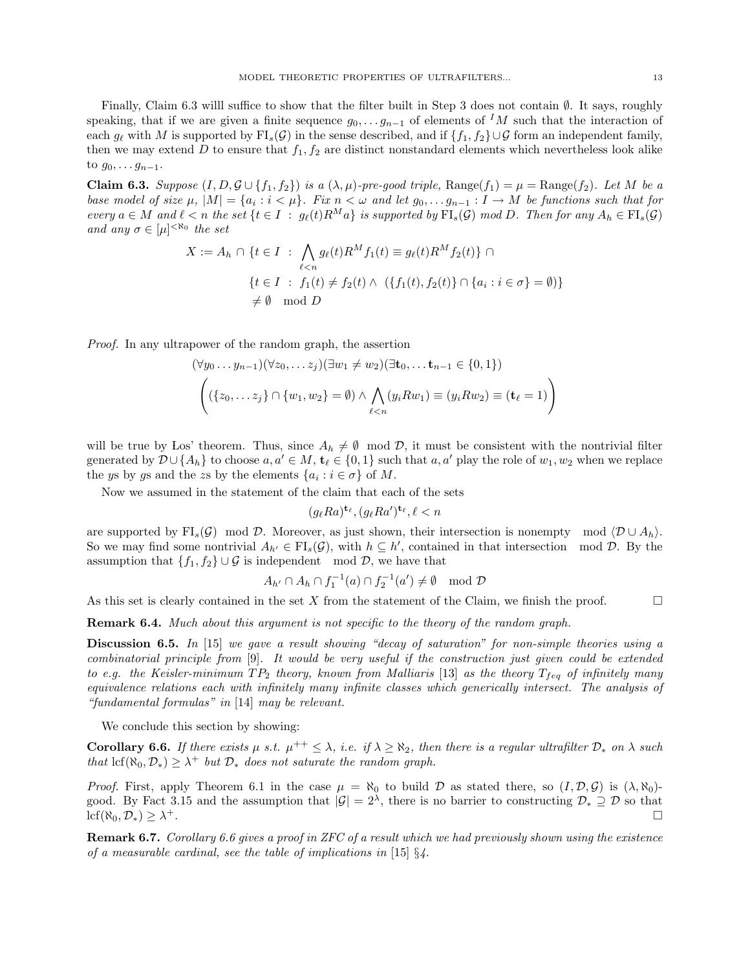Finally, Claim 6.3 willl suffice to show that the filter built in Step 3 does not contain ∅. It says, roughly speaking, that if we are given a finite sequence  $g_0, \ldots, g_{n-1}$  of elements of <sup>I</sup>M such that the interaction of each  $g_\ell$  with M is supported by  $\text{FI}_s(\mathcal{G})$  in the sense described, and if  $\{f_1, f_2\}\cup\mathcal{G}$  form an independent family, then we may extend D to ensure that  $f_1, f_2$  are distinct nonstandard elements which nevertheless look alike to  $g_0, \ldots, g_{n-1}$ .

**Claim 6.3.** Suppose  $(I, D, \mathcal{G} \cup \{f_1, f_2\})$  is a  $(\lambda, \mu)$ -pre-good triple, Range $(f_1) = \mu = \text{Range}(f_2)$ . Let M be a base model of size  $\mu$ ,  $|M| = \{a_i : i < \mu\}$ . Fix  $n < \omega$  and let  $g_0, \ldots g_{n-1} : I \to M$  be functions such that for every  $a \in M$  and  $\ell < n$  the set  $\{t \in I : g_{\ell}(t)R^M a\}$  is supported by  $\mathrm{FI}_s(\mathcal{G})$  mod D. Then for any  $A_h \in \mathrm{FI}_s(\mathcal{G})$ and any  $\sigma \in [\mu]^{<\aleph_0}$  the set

$$
X := A_h \cap \{t \in I : \bigwedge_{\ell < n} g_{\ell}(t) R^M f_1(t) \equiv g_{\ell}(t) R^M f_2(t) \} \cap
$$
\n
$$
\{t \in I : f_1(t) \neq f_2(t) \land (\{f_1(t), f_2(t)\} \cap \{a_i : i \in \sigma\} = \emptyset)\}
$$
\n
$$
\neq \emptyset \mod D
$$

Proof. In any ultrapower of the random graph, the assertion

$$
(\forall y_0 \dots y_{n-1})(\forall z_0, \dots z_j)(\exists w_1 \neq w_2)(\exists \mathbf{t}_0, \dots \mathbf{t}_{n-1} \in \{0, 1\})
$$

$$
((\{z_0, \dots z_j\} \cap \{w_1, w_2\} = \emptyset) \land \bigwedge_{\ell < n} (y_i R w_1) \equiv (y_i R w_2) \equiv (\mathbf{t}_\ell = 1))
$$

will be true by Los' theorem. Thus, since  $A_h \neq \emptyset \mod \mathcal{D}$ , it must be consistent with the nontrivial filter generated by  $\mathcal{D} \cup \{A_h\}$  to choose  $a, a' \in M$ ,  $\mathbf{t}_{\ell} \in \{0, 1\}$  such that  $a, a'$  play the role of  $w_1, w_2$  when we replace the ys by gs and the zs by the elements  $\{a_i : i \in \sigma\}$  of M.

Now we assumed in the statement of the claim that each of the sets

$$
(g_{\ell}Ra)^{\mathbf{t}_{\ell}}, (g_{\ell}Ra')^{\mathbf{t}_{\ell}}, \ell < n
$$

are supported by FI<sub>s</sub> $(G)$  mod D. Moreover, as just shown, their intersection is nonempty mod  $\langle D \cup A_h \rangle$ . So we may find some nontrivial  $A_{h'} \in \mathrm{FI}_s(\mathcal{G})$ , with  $h \subseteq h'$ , contained in that intersection mod  $\mathcal{D}$ . By the assumption that  ${f_1, f_2} \cup \mathcal{G}$  is independent mod  $\mathcal{D}$ , we have that

$$
A_{h'} \cap A_h \cap f_1^{-1}(a) \cap f_2^{-1}(a') \neq \emptyset \mod \mathcal{D}
$$

As this set is clearly contained in the set X from the statement of the Claim, we finish the proof.  $\Box$ 

**Remark 6.4.** Much about this argument is not specific to the theory of the random graph.

Discussion 6.5. In [15] we gave a result showing "decay of saturation" for non-simple theories using a combinatorial principle from [9]. It would be very useful if the construction just given could be extended to e.g. the Keisler-minimum  $TP_2$  theory, known from Malliaris [13] as the theory  $T_{feq}$  of infinitely many equivalence relations each with infinitely many infinite classes which generically intersect. The analysis of "fundamental formulas" in [14] may be relevant.

We conclude this section by showing:

**Corollary 6.6.** If there exists  $\mu$  s.t.  $\mu^{++} \leq \lambda$ , i.e. if  $\lambda \geq \aleph_2$ , then there is a regular ultrafilter  $\mathcal{D}_*$  on  $\lambda$  such that  $\text{lcf}(\aleph_0, \mathcal{D}_*) \geq \lambda^+$  but  $\mathcal{D}_*$  does not saturate the random graph.

*Proof.* First, apply Theorem 6.1 in the case  $\mu = \aleph_0$  to build D as stated there, so  $(I, \mathcal{D}, \mathcal{G})$  is  $(\lambda, \aleph_0)$ good. By Fact 3.15 and the assumption that  $|\mathcal{G}| = 2^{\lambda}$ , there is no barrier to constructing  $\mathcal{D}_* \supseteq \mathcal{D}$  so that  $\mathrm{lcf}(\aleph_0,\mathcal{D}_*)\geq \lambda^+$ . <sup>+</sup>.

**Remark 6.7.** Corollary 6.6 gives a proof in ZFC of a result which we had previously shown using the existence of a measurable cardinal, see the table of implications in [15]  $\S$ .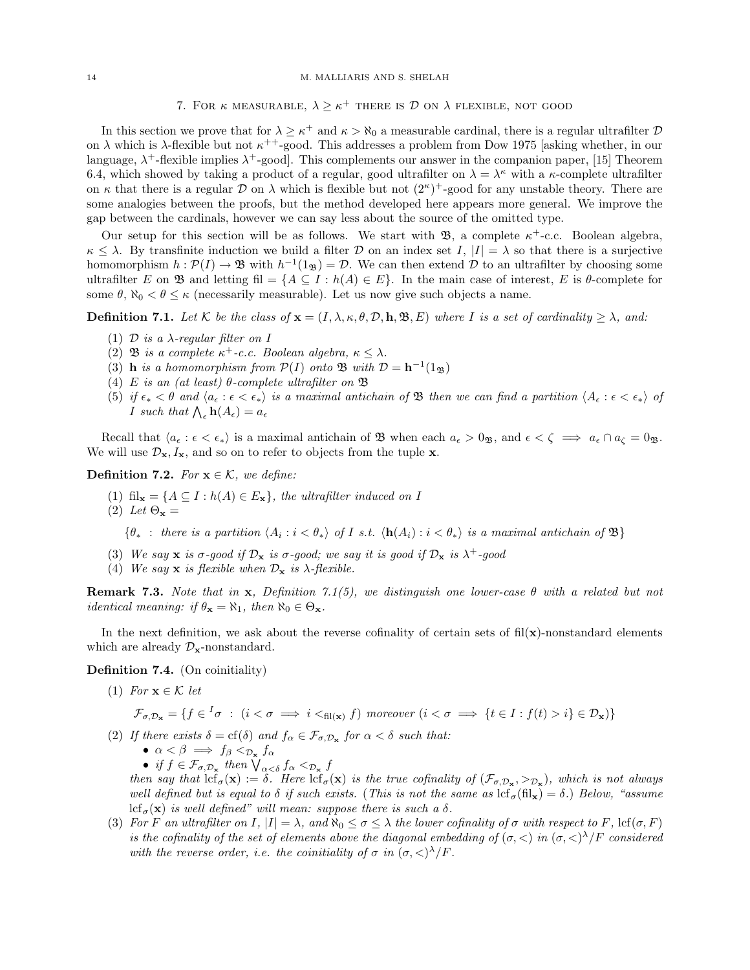14 M. MALLIARIS AND S. SHELAH

7. FOR  $\kappa$  measurable,  $\lambda \geq \kappa^+$  there is  $\mathcal D$  on  $\lambda$  flexible, not good

In this section we prove that for  $\lambda \geq \kappa^+$  and  $\kappa > \aleph_0$  a measurable cardinal, there is a regular ultrafilter  $\mathcal D$ on  $\lambda$  which is  $\lambda$ -flexible but not  $\kappa^{++}$ -good. This addresses a problem from Dow 1975 [asking whether, in our language,  $\lambda^+$ -flexible implies  $\lambda^+$ -good]. This complements our answer in the companion paper, [15] Theorem 6.4, which showed by taking a product of a regular, good ultrafilter on  $\lambda = \lambda^{\kappa}$  with a  $\kappa$ -complete ultrafilter on  $\kappa$  that there is a regular  $\mathcal D$  on  $\lambda$  which is flexible but not  $(2^{\kappa})^+$ -good for any unstable theory. There are some analogies between the proofs, but the method developed here appears more general. We improve the gap between the cardinals, however we can say less about the source of the omitted type.

Our setup for this section will be as follows. We start with  $\mathfrak{B}$ , a complete  $\kappa^+$ -c.c. Boolean algebra,  $\kappa \leq \lambda$ . By transfinite induction we build a filter D on an index set I,  $|I| = \lambda$  so that there is a surjective homomorphism  $h: \mathcal{P}(I) \to \mathfrak{B}$  with  $h^{-1}(1_{\mathfrak{B}}) = \mathcal{D}$ . We can then extend  $\mathcal D$  to an ultrafilter by choosing some ultrafilter E on B and letting fil = { $A \subseteq I : h(A) \in E$ }. In the main case of interest, E is  $\theta$ -complete for some  $\theta$ ,  $\aleph_0 < \theta \leq \kappa$  (necessarily measurable). Let us now give such objects a name.

**Definition 7.1.** Let K be the class of  $\mathbf{x} = (I, \lambda, \kappa, \theta, \mathcal{D}, \mathbf{h}, \mathfrak{B}, E)$  where I is a set of cardinality  $\geq \lambda$ , and:

- (1)  $\mathcal D$  is a  $\lambda$ -regular filter on I
- (2) **B** is a complete  $\kappa^+$ -c.c. Boolean algebra,  $\kappa \leq \lambda$ .
- (3) **h** is a homomorphism from  $\mathcal{P}(I)$  onto  $\mathfrak{B}$  with  $\mathcal{D} = \mathbf{h}^{-1}(1_{\mathfrak{B}})$
- (4) E is an (at least)  $\theta$ -complete ultrafilter on  $\mathfrak B$
- (5) if  $\epsilon_* < \theta$  and  $\langle a_{\epsilon} : \epsilon < \epsilon_* \rangle$  is a maximal antichain of **B** then we can find a partition  $\langle A_{\epsilon} : \epsilon < \epsilon_* \rangle$  of *I* such that  $\bigwedge_{\epsilon} \mathbf{h}(A_{\epsilon}) = a_{\epsilon}$

Recall that  $\langle a_{\epsilon} : \epsilon < \epsilon_* \rangle$  is a maximal antichain of **B** when each  $a_{\epsilon} > 0$ <sub>B</sub>, and  $\epsilon < \zeta \implies a_{\epsilon} \cap a_{\zeta} = 0$ <sub>B</sub>. We will use  $\mathcal{D}_{\mathbf{x}}, I_{\mathbf{x}}$ , and so on to refer to objects from the tuple x.

**Definition 7.2.** For  $\mathbf{x} \in \mathcal{K}$ , we define:

- (1) fil<sub>x</sub> = { $A \subseteq I : h(A) \in E$ <sub>x</sub>}, the ultrafilter induced on I
- (2) Let  $\Theta_{\mathbf{x}} =$

 $\{\theta_*$ : there is a partition  $\langle A_i : i < \theta_* \rangle$  of I s.t.  $\langle \mathbf{h}(A_i) : i < \theta_* \rangle$  is a maximal antichain of  $\mathfrak{B}\}\$ 

- (3) We say  $x$  is  $\sigma$ -good if  $\mathcal{D}_x$  is  $\sigma$ -good; we say it is good if  $\mathcal{D}_x$  is  $\lambda^+$ -good
- (4) We say **x** is flexible when  $\mathcal{D}_{\mathbf{x}}$  is  $\lambda$ -flexible.

Remark 7.3. Note that in x, Definition 7.1(5), we distinguish one lower-case  $\theta$  with a related but not *identical meaning: if*  $\theta_{\mathbf{x}} = \aleph_1$ , then  $\aleph_0 \in \Theta_{\mathbf{x}}$ .

In the next definition, we ask about the reverse cofinality of certain sets of  $\text{fil}(\mathbf{x})$ -nonstandard elements which are already  $\mathcal{D}_{\mathbf{x}}$ -nonstandard.

Definition 7.4. (On coinitiality)

(1) For  $\mathbf{x} \in \mathcal{K}$  let

$$
\mathcal{F}_{\sigma,\mathcal{D}_{\mathbf{x}}} = \{ f \in {}^{I} \sigma : (i < \sigma \implies i <_{\text{fil}(\mathbf{x})} f) \text{ moreover } (i < \sigma \implies \{ t \in I : f(t) > i \} \in \mathcal{D}_{\mathbf{x}}) \}
$$

- (2) If there exists  $\delta = cf(\delta)$  and  $f_{\alpha} \in \mathcal{F}_{\sigma, \mathcal{D}_{\mathbf{x}}}$  for  $\alpha < \delta$  such that:
	- $\alpha < \beta \implies f_{\beta} <_{\mathcal{D}_{\mathbf{x}}} f_{\alpha}$
	- if  $f \in \mathcal{F}_{\sigma, \mathcal{D}_{\mathbf{x}}}$  then  $\bigvee_{\alpha < \delta} f_{\alpha} <_{\mathcal{D}_{\mathbf{x}}} f$

then say that  $\text{lcf}_{\sigma}(\mathbf{x}) := \delta$ . Here  $\text{lcf}_{\sigma}(\mathbf{x})$  is the true cofinality of  $(\mathcal{F}_{\sigma, \mathcal{D}_{\mathbf{x}}}, >_{\mathcal{D}_{\mathbf{x}}})$ , which is not always well defined but is equal to  $\delta$  if such exists. (This is not the same as  $\text{lcf}_{\sigma}(\text{fil}_{\mathbf{x}}) = \delta$ .) Below, "assume lcf<sub> $\sigma$ </sub>(x) is well defined" will mean: suppose there is such a  $\delta$ .

(3) For F an ultrafilter on I,  $|I| = \lambda$ , and  $\aleph_0 \leq \sigma \leq \lambda$  the lower cofinality of  $\sigma$  with respect to F, lcf( $\sigma$ , F) is the cofinality of the set of elements above the diagonal embedding of  $(\sigma, <)$  in  $(\sigma, <)^{\lambda}/F$  considered with the reverse order, i.e. the coinitiality of  $\sigma$  in  $(\sigma, <)^{\lambda}/F$ .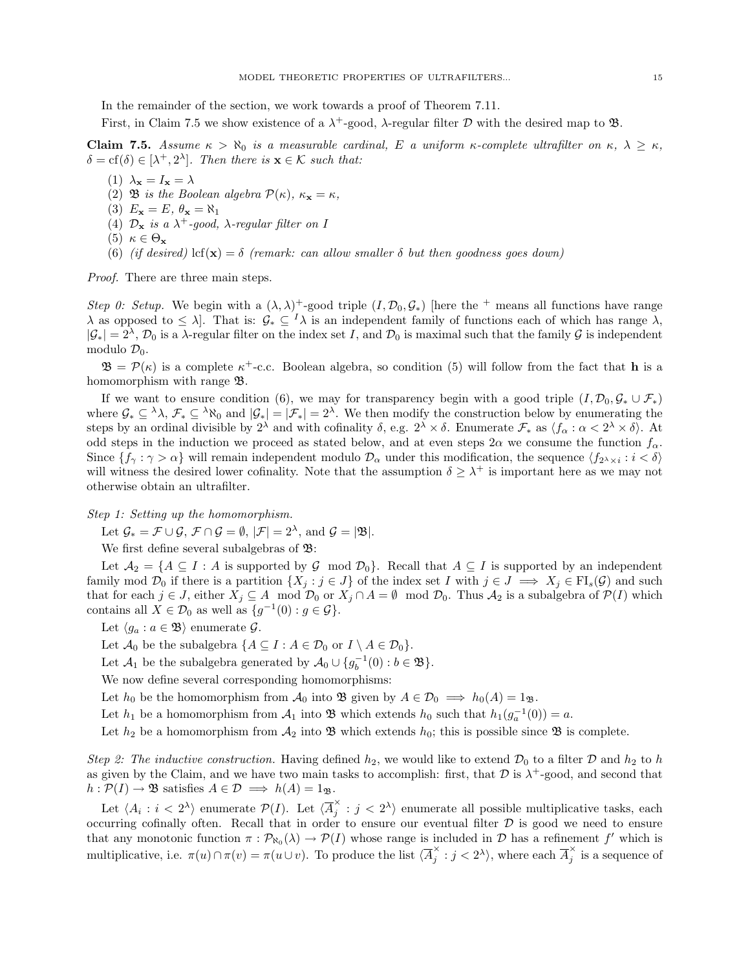In the remainder of the section, we work towards a proof of Theorem 7.11.

First, in Claim 7.5 we show existence of a  $\lambda^+$ -good,  $\lambda$ -regular filter D with the desired map to  $\mathfrak{B}$ .

Claim 7.5. Assume  $\kappa > \aleph_0$  is a measurable cardinal, E a uniform  $\kappa$ -complete ultrafilter on  $\kappa$ ,  $\lambda \geq \kappa$ ,  $\delta = \text{cf}(\delta) \in [\lambda^+, 2^{\lambda}]$ . Then there is  $\mathbf{x} \in \mathcal{K}$  such that:

- (1)  $\lambda_{\mathbf{x}} = I_{\mathbf{x}} = \lambda$
- (2) **B** is the Boolean algebra  $\mathcal{P}(\kappa)$ ,  $\kappa_{\mathbf{x}} = \kappa$ ,
- (3)  $E_{\mathbf{x}} = E, \theta_{\mathbf{x}} = \aleph_1$
- (4)  $\mathcal{D}_{\mathbf{x}}$  is a  $\lambda^{+}$ -good,  $\lambda$ -regular filter on I
- (5)  $\kappa \in \Theta_{\mathbf{x}}$
- (6) (if desired) lcf(**x**) =  $\delta$  (remark: can allow smaller  $\delta$  but then goodness goes down)

Proof. There are three main steps.

Step 0: Setup. We begin with a  $(\lambda, \lambda)^+$ -good triple  $(I, \mathcal{D}_0, \mathcal{G}_*)$  [here the + means all functions have range  $\lambda$  as opposed to  $\leq \lambda$ . That is:  $\mathcal{G}_* \subseteq {}^I\lambda$  is an independent family of functions each of which has range  $\lambda$ ,  $|\mathcal{G}_*| = 2^{\lambda}, \mathcal{D}_0$  is a  $\lambda$ -regular filter on the index set I, and  $\mathcal{D}_0$  is maximal such that the family  $\mathcal G$  is independent modulo  $\mathcal{D}_0$ .

 $\mathfrak{B} = \mathcal{P}(\kappa)$  is a complete  $\kappa^+$ -c.c. Boolean algebra, so condition (5) will follow from the fact that **h** is a homomorphism with range  $\mathfrak{B}$ .

If we want to ensure condition (6), we may for transparency begin with a good triple  $(I, \mathcal{D}_0, \mathcal{G}_* \cup \mathcal{F}_*)$ where  $\mathcal{G}_* \subseteq \lambda \lambda$ ,  $\mathcal{F}_* \subseteq \lambda \aleph_0$  and  $|\mathcal{G}_*| = |\mathcal{F}_*| = 2^{\lambda}$ . We then modify the construction below by enumerating the steps by an ordinal divisible by  $2^{\lambda}$  and with cofinality  $\delta$ , e.g.  $2^{\lambda} \times \delta$ . Enumerate  $\mathcal{F}_*$  as  $\langle f_{\alpha} : \alpha < 2^{\lambda} \times \delta \rangle$ . At odd steps in the induction we proceed as stated below, and at even steps  $2\alpha$  we consume the function  $f_{\alpha}$ . Since  $\{f_\gamma : \gamma > \alpha\}$  will remain independent modulo  $\mathcal{D}_\alpha$  under this modification, the sequence  $\langle f_{2^\lambda \times i} : i < \delta \rangle$ will witness the desired lower cofinality. Note that the assumption  $\delta \geq \lambda^+$  is important here as we may not otherwise obtain an ultrafilter.

Step 1: Setting up the homomorphism.

Let  $\mathcal{G}_* = \mathcal{F} \cup \mathcal{G}, \ \mathcal{F} \cap \mathcal{G} = \emptyset, \ |\mathcal{F}| = 2^{\lambda}, \text{ and } \mathcal{G} = |\mathfrak{B}|.$ 

We first define several subalgebras of  $\mathfrak{B}$ :

Let  $A_2 = \{A \subseteq I : A \text{ is supported by } G \text{ mod } \mathcal{D}_0\}$ . Recall that  $A \subseteq I$  is supported by an independent family mod  $\mathcal{D}_0$  if there is a partition  $\{X_j : j \in J\}$  of the index set I with  $j \in J \implies X_j \in \mathrm{FI}_s(\mathcal{G})$  and such that for each  $j \in J$ , either  $X_j \subseteq A \mod \mathcal{D}_0$  or  $X_j \cap A = \emptyset \mod \mathcal{D}_0$ . Thus  $\mathcal{A}_2$  is a subalgebra of  $\mathcal{P}(I)$  which contains all  $X \in \mathcal{D}_0$  as well as  $\{g^{-1}(0) : g \in \mathcal{G}\}.$ 

- Let  $\langle g_a : a \in \mathfrak{B} \rangle$  enumerate  $\mathcal{G}$ .
- Let  $\mathcal{A}_0$  be the subalgebra  $\{A \subseteq I : A \in \mathcal{D}_0 \text{ or } I \setminus A \in \mathcal{D}_0\}.$
- Let  $\mathcal{A}_1$  be the subalgebra generated by  $\mathcal{A}_0 \cup \{g_b^{-1}(0) : b \in \mathfrak{B}\}.$

We now define several corresponding homomorphisms:

- Let  $h_0$  be the homomorphism from  $\mathcal{A}_0$  into  $\mathfrak{B}$  given by  $A \in \mathcal{D}_0 \implies h_0(A) = 1_{\mathfrak{B}}$ .
- Let  $h_1$  be a homomorphism from  $\mathcal{A}_1$  into  $\mathfrak{B}$  which extends  $h_0$  such that  $h_1(g_a^{-1}(0)) = a$ .

Let  $h_2$  be a homomorphism from  $\mathcal{A}_2$  into  $\mathfrak B$  which extends  $h_0$ ; this is possible since  $\mathfrak B$  is complete.

Step 2: The inductive construction. Having defined  $h_2$ , we would like to extend  $\mathcal{D}_0$  to a filter  $\mathcal D$  and  $h_2$  to h as given by the Claim, and we have two main tasks to accomplish: first, that  $D$  is  $\lambda^+$ -good, and second that  $h : \mathcal{P}(I) \to \mathfrak{B}$  satisfies  $A \in \mathcal{D} \implies h(A) = 1_{\mathfrak{B}}.$ 

Let  $\langle A_i : i < 2^{\lambda} \rangle$  enumerate  $\mathcal{P}(I)$ . Let  $\langle \overline{A}_i^{\times} \rangle$  $j \in j \langle 2^{\lambda} \rangle$  enumerate all possible multiplicative tasks, each occurring cofinally often. Recall that in order to ensure our eventual filter  $\mathcal D$  is good we need to ensure that any monotonic function  $\pi : \mathcal{P}_{\aleph_0}(\lambda) \to \mathcal{P}(I)$  whose range is included in  $\mathcal{D}$  has a refinement f' which is multiplicative, i.e.  $\pi(u) \cap \pi(v) = \pi(u \cup v)$ . To produce the list  $\langle \overline{A}_i^{\times} \rangle$  $j \leq i \leq 2^{\lambda}$ , where each  $\overline{A}_{j}^{\times}$  $\hat{j}$  is a sequence of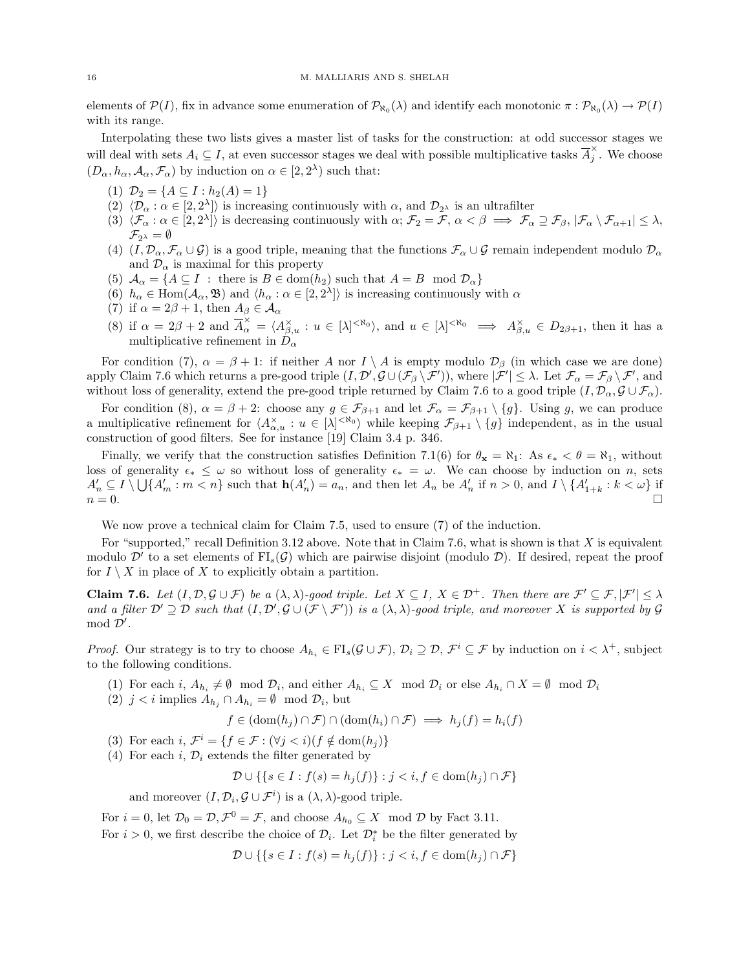elements of  $\mathcal{P}(I)$ , fix in advance some enumeration of  $\mathcal{P}_{\aleph_0}(\lambda)$  and identify each monotonic  $\pi: \mathcal{P}_{\aleph_0}(\lambda) \to \mathcal{P}(I)$ with its range.

Interpolating these two lists gives a master list of tasks for the construction: at odd successor stages we will deal with sets  $A_i \subseteq I$ , at even successor stages we deal with possible multiplicative tasks  $\overline{A}_i^{\times}$  $\hat{j}$ . We choose  $(D_{\alpha}, h_{\alpha}, \mathcal{A}_{\alpha}, \mathcal{F}_{\alpha})$  by induction on  $\alpha \in [2, 2^{\lambda})$  such that:

- (1)  $\mathcal{D}_2 = \{A \subseteq I : h_2(A) = 1\}$
- (2)  $\langle \mathcal{D}_{\alpha} : \alpha \in [2, 2^{\lambda}] \rangle$  is increasing continuously with  $\alpha$ , and  $\mathcal{D}_{2^{\lambda}}$  is an ultrafilter
- (3)  $\langle \mathcal{F}_{\alpha} : \alpha \in [2, 2^{\lambda}] \rangle$  is decreasing continuously with  $\alpha; \mathcal{F}_{2} = \mathcal{F}, \alpha < \beta \implies \mathcal{F}_{\alpha} \supseteq \mathcal{F}_{\beta}, |\mathcal{F}_{\alpha} \setminus \mathcal{F}_{\alpha+1}| \leq \lambda$ ,  $\mathcal{F}_{2^{\lambda}}=\emptyset$
- (4)  $(I, \mathcal{D}_{\alpha}, \mathcal{F}_{\alpha} \cup \mathcal{G})$  is a good triple, meaning that the functions  $\mathcal{F}_{\alpha} \cup \mathcal{G}$  remain independent modulo  $\mathcal{D}_{\alpha}$ and  $\mathcal{D}_{\alpha}$  is maximal for this property
- (5)  $A_{\alpha} = \{A \subseteq I : \text{there is } B \in \text{dom}(h_2) \text{ such that } A = B \mod \mathcal{D}_{\alpha}\}\$
- (6)  $h_{\alpha} \in \text{Hom}(\mathcal{A}_{\alpha}, \mathfrak{B})$  and  $\langle h_{\alpha} : \alpha \in [2, 2^{\lambda}] \rangle$  is increasing continuously with  $\alpha$
- (7) if  $\alpha = 2\beta + 1$ , then  $A_{\beta} \in \mathcal{A}_{\alpha}$
- (8) if  $\alpha = 2\beta + 2$  and  $\overline{A}_{\alpha}^{\times} = \langle A_{\beta,u}^{\times} : u \in [\lambda]^{<\aleph_0}$ , and  $u \in [\lambda]^{<\aleph_0} \implies A_{\beta,u}^{\times} \in D_{2\beta+1}$ , then it has a multiplicative refinement in  $D_{\alpha}$

For condition (7),  $\alpha = \beta + 1$ : if neither A nor  $I \setminus A$  is empty modulo  $\mathcal{D}_{\beta}$  (in which case we are done) apply Claim 7.6 which returns a pre-good triple  $(I, \mathcal{D}', \mathcal{G} \cup (\mathcal{F}_{\beta} \setminus \mathcal{F}'))$ , where  $|\mathcal{F}'| \leq \lambda$ . Let  $\mathcal{F}_{\alpha} = \mathcal{F}_{\beta} \setminus \mathcal{F}'$ , and without loss of generality, extend the pre-good triple returned by Claim 7.6 to a good triple  $(I, \mathcal{D}_{\alpha}, \mathcal{G} \cup \mathcal{F}_{\alpha})$ .

For condition (8),  $\alpha = \beta + 2$ : choose any  $g \in \mathcal{F}_{\beta+1}$  and let  $\mathcal{F}_{\alpha} = \mathcal{F}_{\beta+1} \setminus \{g\}$ . Using g, we can produce a multiplicative refinement for  $\langle A_{\alpha,u}^{\times} : u \in [\lambda]^{<\aleph_0} \rangle$  while keeping  $\mathcal{F}_{\beta+1} \setminus \{g\}$  independent, as in the usual construction of good filters. See for instance [19] Claim 3.4 p. 346.

Finally, we verify that the construction satisfies Definition 7.1(6) for  $\theta_{\mathbf{x}} = \aleph_1$ : As  $\epsilon_* < \theta = \aleph_1$ , without loss of generality  $\epsilon_* \leq \omega$  so without loss of generality  $\epsilon_* = \omega$ . We can choose by induction on n, sets  $A'_n \subseteq I \setminus \bigcup \{A'_m : m < n\}$  such that  $h(A'_n) = a_n$ , and then let  $A_n$  be  $A'_n$  if  $n > 0$ , and  $I \setminus \{A'_{1+k} : k < \omega\}$  if  $n = 0.$ 

We now prove a technical claim for Claim 7.5, used to ensure (7) of the induction.

For "supported," recall Definition 3.12 above. Note that in Claim 7.6, what is shown is that X is equivalent modulo  $\mathcal{D}'$  to a set elements of  $FI_s(\mathcal{G})$  which are pairwise disjoint (modulo  $\mathcal{D}$ ). If desired, repeat the proof for  $I \setminus X$  in place of X to explicitly obtain a partition.

**Claim 7.6.** Let  $(I, \mathcal{D}, \mathcal{G} \cup \mathcal{F})$  be a  $(\lambda, \lambda)$ -good triple. Let  $X \subseteq I$ ,  $X \in \mathcal{D}^+$ . Then there are  $\mathcal{F}' \subseteq \mathcal{F}, |\mathcal{F}'| \leq \lambda$ and a filter  $\mathcal{D}' \supseteq \mathcal{D}$  such that  $(I, \mathcal{D}', \mathcal{G} \cup (\mathcal{F} \setminus \mathcal{F}'))$  is a  $(\lambda, \lambda)$ -good triple, and moreover X is supported by  $\mathcal{G}$  $mod \mathcal{D}'$ .

*Proof.* Our strategy is to try to choose  $A_{h_i} \in \mathrm{FI}_s(\mathcal{G} \cup \mathcal{F}), \mathcal{D}_i \supseteq \mathcal{D}, \mathcal{F}^i \subseteq \mathcal{F}$  by induction on  $i < \lambda^+$ , subject to the following conditions.

- (1) For each  $i, A_{h_i} \neq \emptyset \mod \mathcal{D}_i$ , and either  $A_{h_i} \subseteq X \mod \mathcal{D}_i$  or else  $A_{h_i} \cap X = \emptyset \mod \mathcal{D}_i$
- (2)  $j < i$  implies  $A_{h_j} \cap A_{h_i} = \emptyset \mod \mathcal{D}_i$ , but

$$
f \in (\text{dom}(h_j) \cap \mathcal{F}) \cap (\text{dom}(h_i) \cap \mathcal{F}) \implies h_j(f) = h_i(f)
$$

- (3) For each  $i, \mathcal{F}^i = \{f \in \mathcal{F} : (\forall j < i)(f \notin \text{dom}(h_j))\}$
- (4) For each i,  $\mathcal{D}_i$  extends the filter generated by

$$
\mathcal{D} \cup \{ \{ s \in I : f(s) = h_j(f) \} : j < i, f \in \text{dom}(h_j) \cap \mathcal{F} \}
$$

and moreover  $(I, \mathcal{D}_i, \mathcal{G} \cup \mathcal{F}^i)$  is a  $(\lambda, \lambda)$ -good triple.

For  $i = 0$ , let  $\mathcal{D}_0 = \mathcal{D}, \mathcal{F}^0 = \mathcal{F}$ , and choose  $A_{h_0} \subseteq X \mod \mathcal{D}$  by Fact 3.11.

For  $i > 0$ , we first describe the choice of  $\mathcal{D}_i$ . Let  $\mathcal{D}_i^*$  be the filter generated by

$$
\mathcal{D} \cup \{ \{ s \in I : f(s) = h_j(f) \} : j < i, f \in \text{dom}(h_j) \cap \mathcal{F} \}
$$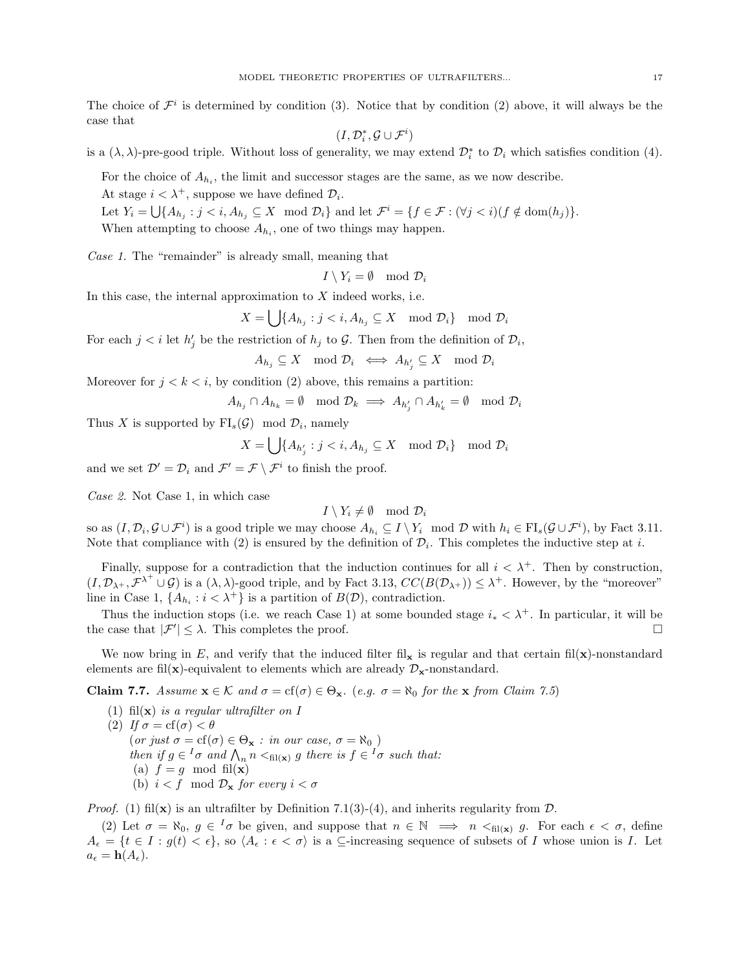The choice of  $\mathcal{F}^i$  is determined by condition (3). Notice that by condition (2) above, it will always be the case that

$$
(I, \mathcal{D}^*_i, \mathcal{G} \cup \mathcal{F}^i)
$$

is a  $(\lambda, \lambda)$ -pre-good triple. Without loss of generality, we may extend  $\mathcal{D}_i^*$  to  $\mathcal{D}_i$  which satisfies condition (4).

For the choice of  $A_{h_i}$ , the limit and successor stages are the same, as we now describe.

At stage  $i < \lambda^+$ , suppose we have defined  $\mathcal{D}_i$ .

Let  $Y_i = \bigcup \{ A_{h_j} : j \le i, A_{h_j} \subseteq X \mod \mathcal{D}_i \}$  and let  $\mathcal{F}^i = \{ f \in \mathcal{F} : (\forall j \le i) (f \notin \text{dom}(h_j)) \}.$ 

When attempting to choose  $A_{h_i}$ , one of two things may happen.

Case 1. The "remainder" is already small, meaning that

 $I \setminus Y_i = \emptyset \mod \mathcal{D}_i$ 

In this case, the internal approximation to  $X$  indeed works, i.e.

 $X = \bigcup \{A_{h_j} : j < i, A_{h_j} \subseteq X \mod \mathcal{D}_i\} \mod \mathcal{D}_i$ 

For each  $j < i$  let  $h'_j$  be the restriction of  $h_j$  to  $\mathcal{G}$ . Then from the definition of  $\mathcal{D}_i$ ,

 $A_{h_j}\subseteq X\mod \mathcal{D}_i \iff A_{h'_j}\subseteq X\mod \mathcal{D}_i$ 

Moreover for  $j < k < i$ , by condition (2) above, this remains a partition:

 $A_{h_j} \cap A_{h_k} = \emptyset \mod \mathcal{D}_k \implies A_{h'_j} \cap A_{h'_k} = \emptyset \mod \mathcal{D}_i$ 

Thus X is supported by  $FI_s(\mathcal{G}) \mod \mathcal{D}_i$ , namely

$$
X=\bigcup\{A_{h'_j}:j
$$

and we set  $\mathcal{D}' = \mathcal{D}_i$  and  $\mathcal{F}' = \mathcal{F} \setminus \mathcal{F}^i$  to finish the proof.

Case 2. Not Case 1, in which case

 $I \setminus Y_i \neq \emptyset \mod \mathcal{D}_i$ 

so as  $(I, \mathcal{D}_i, \mathcal{G} \cup \mathcal{F}^i)$  is a good triple we may choose  $A_{h_i} \subseteq I \setminus Y_i \mod \mathcal{D}$  with  $h_i \in \mathrm{FI}_s(\mathcal{G} \cup \mathcal{F}^i)$ , by Fact 3.11. Note that compliance with (2) is ensured by the definition of  $\mathcal{D}_i$ . This completes the inductive step at i.

Finally, suppose for a contradiction that the induction continues for all  $i < \lambda^+$ . Then by construction,  $(I, \mathcal{D}_{\lambda^+}, \mathcal{F}^{\lambda^+} \cup \mathcal{G})$  is a  $(\lambda, \lambda)$ -good triple, and by Fact 3.13,  $CC(B(\mathcal{D}_{\lambda^+})) \leq \lambda^+$ . However, by the "moreover" line in Case 1,  $\{A_{h_i} : i < \lambda^+\}$  is a partition of  $B(\mathcal{D})$ , contradiction.

Thus the induction stops (i.e. we reach Case 1) at some bounded stage  $i_* < \lambda^+$ . In particular, it will be the case that  $|\mathcal{F}'| \leq \lambda$ . This completes the proof.

We now bring in E, and verify that the induced filter fil<sub>x</sub> is regular and that certain fil(x)-nonstandard elements are fil(x)-equivalent to elements which are already  $\mathcal{D}_{\mathbf{x}}$ -nonstandard.

**Claim 7.7.** Assume  $\mathbf{x} \in \mathcal{K}$  and  $\sigma = \text{cf}(\sigma) \in \Theta_{\mathbf{x}}$ . (e.g.  $\sigma = \aleph_0$  for the  $\mathbf{x}$  from Claim 7.5)

- (1) fil $(\mathbf{x})$  is a regular ultrafilter on I
- (2) If  $\sigma = cf(\sigma) < \theta$ (or just  $\sigma = cf(\sigma) \in \Theta_{\mathbf{x}} : in \ our \ case, \ \sigma = \aleph_0$ ) then if  $g \in {}^{I}\sigma$  and  $\bigwedge_n n <_{\text{fil}(\mathbf{x})} g$  there is  $f \in {}^{I}\sigma$  such that: (a)  $f = g \mod \text{fil}(\mathbf{x})$ (b)  $i < f \mod \mathcal{D}_{\mathbf{x}}$  for every  $i < \sigma$

*Proof.* (1) fil $(\mathbf{x})$  is an ultrafilter by Definition 7.1(3)-(4), and inherits regularity from  $\mathcal{D}$ .

(2) Let  $\sigma = \aleph_0, g \in \mathbb{I}\sigma$  be given, and suppose that  $n \in \mathbb{N} \implies n \leq_{\text{fil}(\mathbf{x})} g$ . For each  $\epsilon < \sigma$ , define  $A_{\epsilon} = \{t \in I : g(t) < \epsilon\},$  so  $\langle A_{\epsilon} : \epsilon < \sigma \rangle$  is a  $\subseteq$ -increasing sequence of subsets of I whose union is I. Let  $a_{\epsilon} = \mathbf{h}(A_{\epsilon}).$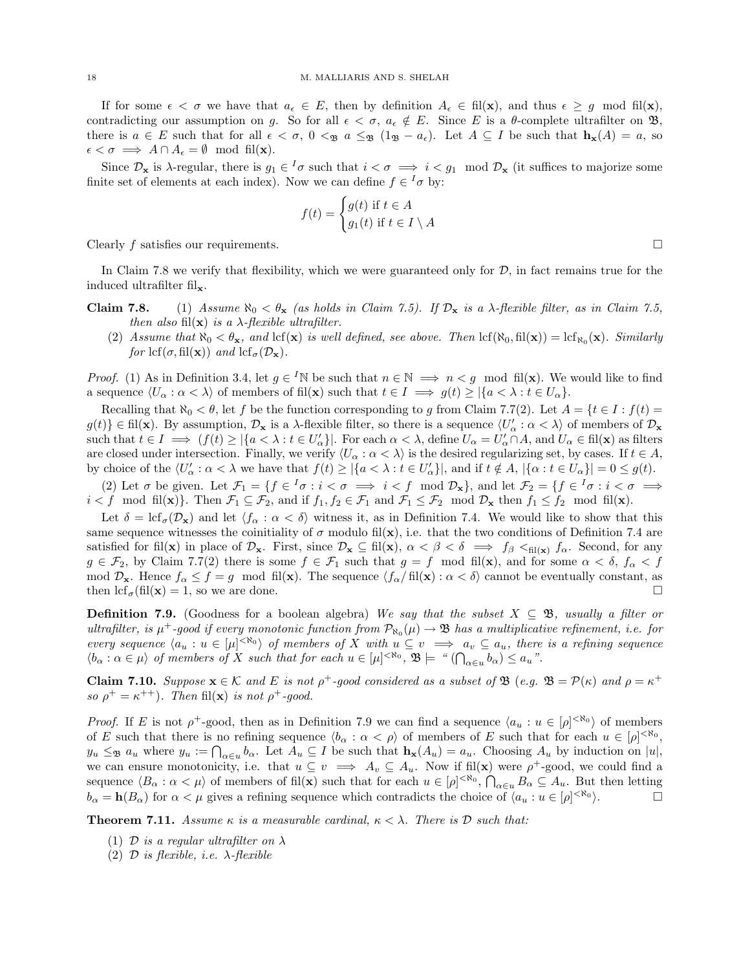If for some  $\epsilon < \sigma$  we have that  $a_{\epsilon} \in E$ , then by definition  $A_{\epsilon} \in \text{fil}(\mathbf{x})$ , and thus  $\epsilon \geq g$  mod fil $(\mathbf{x})$ , contradicting our assumption on g. So for all  $\epsilon < \sigma$ ,  $a_{\epsilon} \notin E$ . Since E is a  $\theta$ -complete ultrafilter on  $\mathfrak{B}$ , there is  $a \in E$  such that for all  $\epsilon < \sigma$ ,  $0 <_{\mathfrak{B}} a \le_{\mathfrak{B}} (1_{\mathfrak{B}} - a_{\epsilon})$ . Let  $A \subseteq I$  be such that  $\mathbf{h}_{\mathbf{x}}(A) = a$ , so  $\epsilon < \sigma \implies A \cap A_{\epsilon} = \emptyset \mod \text{fil}(\mathbf{x}).$ 

Since  $\mathcal{D}_{\mathbf{x}}$  is  $\lambda$ -regular, there is  $g_1 \in \mathcal{I}$  such that  $i < \sigma \implies i < g_1 \mod \mathcal{D}_{\mathbf{x}}$  (it suffices to majorize some finite set of elements at each index). Now we can define  $f \in {}^I\sigma$  by:

$$
f(t) = \begin{cases} g(t) & \text{if } t \in A \\ g_1(t) & \text{if } t \in I \setminus A \end{cases}
$$

Clearly f satisfies our requirements.  $\square$ 

In Claim 7.8 we verify that flexibility, which we were guaranteed only for  $\mathcal{D}$ , in fact remains true for the induced ultrafilter  $\operatorname{fil}_{\mathbf{x}}.$ 

- **Claim 7.8.** (1) Assume  $\aleph_0 < \theta_{\mathbf{x}}$  (as holds in Claim 7.5). If  $\mathcal{D}_{\mathbf{x}}$  is a  $\lambda$ -flexible filter, as in Claim 7.5, then also fil $(\mathbf{x})$  is a  $\lambda$ -flexible ultrafilter.
	- (2) Assume that  $\aleph_0 < \theta_{\mathbf{x}}$ , and lcf( $\mathbf{x}$ ) is well defined, see above. Then lcf( $\aleph_0$ , fil $(\mathbf{x})$ ) = lcf<sub> $\aleph_0(\mathbf{x})$ </sub>. Similarly for  $\text{lcf}(\sigma, \text{fil}(\mathbf{x}))$  and  $\text{lcf}_{\sigma}(\mathcal{D}_{\mathbf{x}})$ .

*Proof.* (1) As in Definition 3.4, let  $g \in {}^I\mathbb{N}$  be such that  $n \in \mathbb{N} \implies n < g \mod \text{fil}(\mathbf{x})$ . We would like to find a sequence  $\langle U_\alpha : \alpha < \lambda \rangle$  of members of fil(x) such that  $t \in I \implies g(t) \geq |\{a < \lambda : t \in U_\alpha\}|$ .

Recalling that  $\aleph_0 < \theta$ , let f be the function corresponding to g from Claim 7.7(2). Let  $A = \{t \in I : f(t) =$  $g(t)$ }  $\in$  fil(**x**). By assumption,  $\mathcal{D}_{\mathbf{x}}$  is a  $\lambda$ -flexible filter, so there is a sequence  $\langle U'_{\alpha} : \alpha < \lambda \rangle$  of members of  $\mathcal{D}_{\mathbf{x}}$ such that  $t \in I \implies (f(t) \geq |\{a < \lambda : t \in U'_\alpha\}|$ . For each  $\alpha < \lambda$ , define  $U_\alpha = U'_\alpha \cap A$ , and  $U_\alpha \in \text{fil}(\mathbf{x})$  as filters are closed under intersection. Finally, we verify  $\langle U_{\alpha} : \alpha < \lambda \rangle$  is the desired regularizing set, by cases. If  $t \in A$ , by choice of the  $\langle U'_\alpha : \alpha < \lambda$  we have that  $f(t) \geq |\{a < \lambda : t \in U'_\alpha\}|$ , and if  $t \notin A$ ,  $|\{\alpha : t \in U_\alpha\}| = 0 \leq g(t)$ .

(2) Let  $\sigma$  be given. Let  $\mathcal{F}_1 = \{f \in {}^I\sigma : i < \sigma \implies i < f \mod \mathcal{D}_\mathbf{x}\}$ , and let  $\mathcal{F}_2 = \{f \in {}^I\sigma : i < \sigma \implies f \equiv f \mod \mathcal{D}_\mathbf{x}\}$  $i < f \mod \text{fil}(\mathbf{x})$ . Then  $\mathcal{F}_1 \subseteq \mathcal{F}_2$ , and if  $f_1, f_2 \in \mathcal{F}_1$  and  $\mathcal{F}_1 \leq \mathcal{F}_2 \mod \mathcal{D}_{\mathbf{x}}$  then  $f_1 \leq f_2 \mod \text{fil}(\mathbf{x})$ .

Let  $\delta = \text{lcf}_{\sigma}(\mathcal{D}_{\mathbf{x}})$  and let  $\langle f_{\alpha} : \alpha < \delta \rangle$  witness it, as in Definition 7.4. We would like to show that this same sequence witnesses the coinitiality of  $\sigma$  modulo fil $(\mathbf{x})$ , i.e. that the two conditions of Definition 7.4 are satisfied for fil(x) in place of  $\mathcal{D}_{x}$ . First, since  $\mathcal{D}_{x} \subseteq \text{fil}(x)$ ,  $\alpha < \beta < \delta \implies f_{\beta} <_{\text{fil}(x)} f_{\alpha}$ . Second, for any  $g \in \mathcal{F}_2$ , by Claim 7.7(2) there is some  $f \in \mathcal{F}_1$  such that  $g = f \mod \text{fil}(\mathbf{x})$ , and for some  $\alpha < \delta$ ,  $f_\alpha < f$ mod  $\mathcal{D}_{\mathbf{x}}$ . Hence  $f_{\alpha} \leq f = g \mod \text{fil}(\mathbf{x})$ . The sequence  $\langle f_{\alpha}/ \text{fil}(\mathbf{x}) : \alpha < \delta \rangle$  cannot be eventually constant, as then  $\text{lcf}_{\sigma}(\text{fil}(\mathbf{x}) = 1)$ , so we are done.

**Definition 7.9.** (Goodness for a boolean algebra) We say that the subset  $X \subseteq \mathcal{B}$ , usually a filter or ultrafilter, is  $\mu^+$ -good if every monotonic function from  $\mathcal{P}_{N_0}(\mu) \to \mathfrak{B}$  has a multiplicative refinement, i.e. for every sequence  $\langle a_u : u \in [\mu]^{<\aleph_0} \rangle$  of members of X with  $u \subseteq v \implies a_v \subseteq a_u$ , there is a refining sequence  $\langle b_{\alpha} : \alpha \in \mu \rangle$  of members of X such that for each  $u \in [\mu]^{<\aleph_0}$ ,  $\mathfrak{B} \models \text{`` } (\bigcap_{\alpha \in u} b_{\alpha}) \leq a_u$ ".

**Claim 7.10.** Suppose  $\mathbf{x} \in \mathcal{K}$  and E is not  $\rho^+$ -good considered as a subset of  $\mathfrak{B}$  (e.g.  $\mathfrak{B} = \mathcal{P}(\kappa)$  and  $\rho = \kappa^+$ so  $\rho^+ = \kappa^{++}$ ). Then fil(**x**) is not  $\rho^+$ -good.

*Proof.* If E is not  $\rho^+$ -good, then as in Definition 7.9 we can find a sequence  $\langle a_u : u \in [\rho]^{< \aleph_0} \rangle$  of members of E such that there is no refining sequence  $\langle b_{\alpha} : \alpha < \rho \rangle$  of members of E such that for each  $u \in [\rho]^{<\aleph_0}$ ,  $y_u \leq_{\mathfrak{B}} a_u$  where  $y_u := \bigcap_{\alpha \in u} b_{\alpha}$ . Let  $A_u \subseteq I$  be such that  $\mathbf{h}_{\mathbf{x}}(A_u) = a_u$ . Choosing  $A_u$  by induction on  $|u|$ , we can ensure monotonicity, i.e. that  $u \subseteq v \implies A_v \subseteq A_u$ . Now if fil(**x**) were  $\rho^+$ -good, we could find a sequence  $\langle B_\alpha : \alpha < \mu \rangle$  of members of fil(**x**) such that for each  $u \in [\rho]^{< \aleph_0}$ ,  $\bigcap_{\alpha \in u} B_\alpha \subseteq A_u$ . But then letting  $b_{\alpha} = \mathbf{h}(B_{\alpha})$  for  $\alpha < \mu$  gives a refining sequence which contradicts the choice of  $\langle a_u : u \in [\rho]^{<\aleph_0} \rangle$ .

**Theorem 7.11.** Assume  $\kappa$  is a measurable cardinal,  $\kappa < \lambda$ . There is D such that:

- (1) D is a regular ultrafilter on  $\lambda$
- (2)  $\mathcal D$  is flexible, i.e.  $\lambda$ -flexible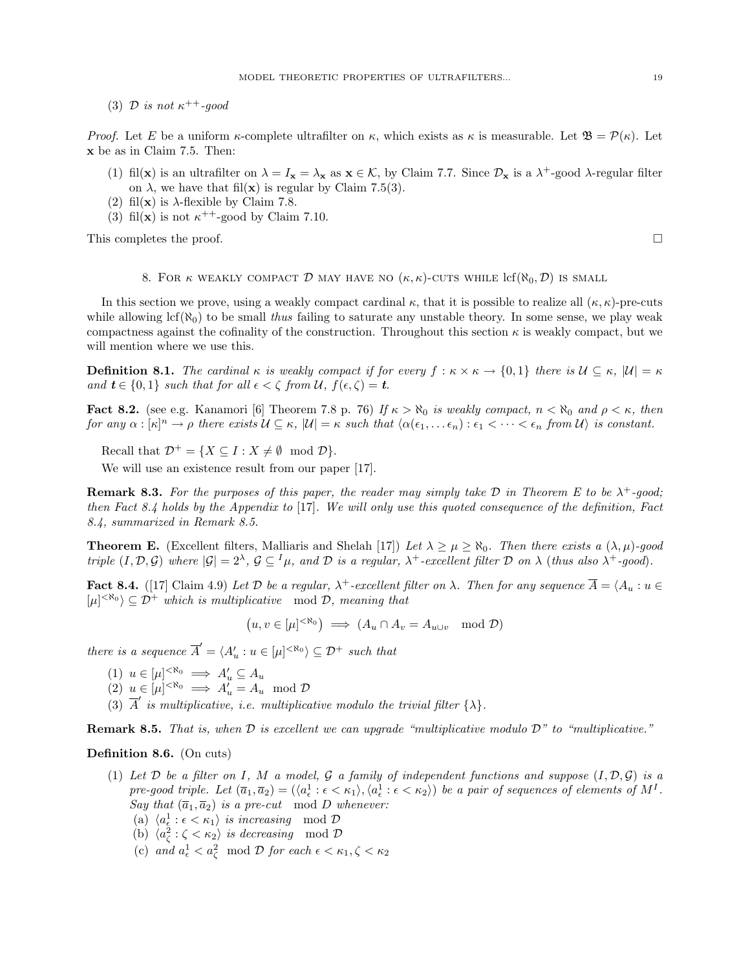(3)  $\mathcal{D}$  is not  $\kappa^{++}$ -good

*Proof.* Let E be a uniform  $\kappa$ -complete ultrafilter on  $\kappa$ , which exists as  $\kappa$  is measurable. Let  $\mathfrak{B} = \mathcal{P}(\kappa)$ . Let x be as in Claim 7.5. Then:

- (1) fil(**x**) is an ultrafilter on  $\lambda = I_x = \lambda_x$  as  $\mathbf{x} \in \mathcal{K}$ , by Claim 7.7. Since  $\mathcal{D}_x$  is a  $\lambda^+$ -good  $\lambda$ -regular filter on  $\lambda$ , we have that fil(**x**) is regular by Claim 7.5(3).
- (2) fil $(\mathbf{x})$  is  $\lambda$ -flexible by Claim 7.8.
- (3) fil(**x**) is not  $\kappa^{++}$ -good by Claim 7.10.

This completes the proof.  $\square$ 

8. FOR  $\kappa$  WEAKLY COMPACT D MAY HAVE NO  $(\kappa, \kappa)$ -CUTS WHILE  $\text{lcf}(\aleph_0, \mathcal{D})$  is small

In this section we prove, using a weakly compact cardinal  $\kappa$ , that it is possible to realize all  $(\kappa, \kappa)$ -pre-cuts while allowing  $\text{lcf}(\aleph_0)$  to be small thus failing to saturate any unstable theory. In some sense, we play weak compactness against the cofinality of the construction. Throughout this section  $\kappa$  is weakly compact, but we will mention where we use this.

**Definition 8.1.** The cardinal  $\kappa$  is weakly compact if for every  $f : \kappa \times \kappa \to \{0,1\}$  there is  $\mathcal{U} \subseteq \kappa$ ,  $|\mathcal{U}| = \kappa$ and  $t \in \{0,1\}$  such that for all  $\epsilon < \zeta$  from  $\mathcal{U}$ ,  $f(\epsilon, \zeta) = t$ .

**Fact 8.2.** (see e.g. Kanamori [6] Theorem 7.8 p. 76) If  $\kappa > \aleph_0$  is weakly compact,  $n < \aleph_0$  and  $\rho < \kappa$ , then for any  $\alpha : [\kappa]^n \to \rho$  there exists  $\mathcal{U} \subseteq \kappa$ ,  $|\mathcal{U}| = \kappa$  such that  $\langle \alpha(\epsilon_1, \ldots \epsilon_n) : \epsilon_1 < \cdots < \epsilon_n$  from  $\mathcal{U} \rangle$  is constant.

Recall that  $\mathcal{D}^+ = \{X \subseteq I : X \neq \emptyset \mod \mathcal{D}\}.$ 

We will use an existence result from our paper [17].

**Remark 8.3.** For the purposes of this paper, the reader may simply take  $D$  in Theorem E to be  $\lambda^+$ -good; then Fact 8.4 holds by the Appendix to [17]. We will only use this quoted consequence of the definition, Fact 8.4, summarized in Remark 8.5.

**Theorem E.** (Excellent filters, Malliaris and Shelah [17]) Let  $\lambda \geq \mu \geq \aleph_0$ . Then there exists a  $(\lambda, \mu)$ -good triple  $(I, \mathcal{D}, \mathcal{G})$  where  $|\mathcal{G}| = 2^{\lambda}, \mathcal{G} \subseteq I_{\mu}$ , and  $\mathcal{D}$  is a regular,  $\lambda^{+}$ -excellent filter  $\mathcal{D}$  on  $\lambda$  (thus also  $\lambda^{+}$ -good).

**Fact 8.4.** ([17] Claim 4.9) Let D be a regular,  $\lambda^+$ -excellent filter on  $\lambda$ . Then for any sequence  $\overline{A} = \langle A_u : u \in A \rangle$  $[\mu]^{<\aleph_0}\rangle \subseteq \mathcal{D}^+$  which is multiplicative mod  $\mathcal{D}$ , meaning that

 $(u, v \in [\mu]^{< \aleph_0}) \implies (A_u \cap A_v = A_{u \cup v} \mod \mathcal{D})$ 

there is a sequence  $\overline{A}' = \langle A'_u : u \in [\mu]^{<\aleph_0} \rangle \subseteq \mathcal{D}^+$  such that

- (1)  $u \in [\mu]^{<\aleph_0} \implies A'_u \subseteq A_u$
- (2)  $u \in [\mu]^{< \aleph_0} \implies A'_u = A_u \mod \mathcal{D}$
- (3)  $\overline{A}'$  is multiplicative, i.e. multiplicative modulo the trivial filter  $\{\lambda\}$ .

**Remark 8.5.** That is, when  $D$  is excellent we can upgrade "multiplicative modulo  $D$ " to "multiplicative."

## Definition 8.6. (On cuts)

- (1) Let  $\mathcal D$  be a filter on I, M a model,  $\mathcal G$  a family of independent functions and suppose  $(I, \mathcal D, \mathcal G)$  is a pre-good triple. Let  $(\bar{a}_1, \bar{a}_2) = (\langle a_\epsilon^1 : \epsilon < \kappa_1 \rangle, \langle a_\epsilon^1 : \epsilon < \kappa_2 \rangle)$  be a pair of sequences of elements of  $M^I$ . Say that  $(\overline{a}_1, \overline{a}_2)$  is a pre-cut mod D whenever:
	- (a)  $\langle a_{\epsilon}^1 : \epsilon < \kappa_1 \rangle$  is increasing mod  $D$
	- (b)  $\langle a_\zeta^2 : \zeta < \kappa_2 \rangle$  is decreasing mod  $\mathcal{D}$
	- (c) and  $a_{\epsilon}^1 < a_{\zeta}^2 \mod \mathcal{D}$  for each  $\epsilon < \kappa_1, \zeta < \kappa_2$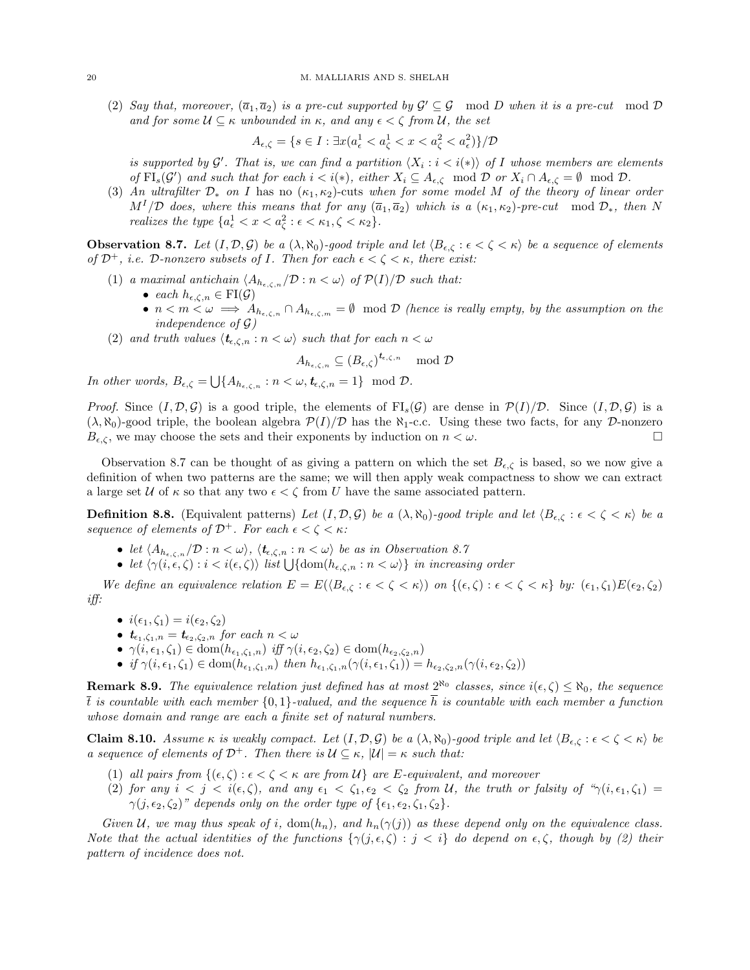(2) Say that, moreover,  $(\overline{a}_1, \overline{a}_2)$  is a pre-cut supported by  $\mathcal{G}' \subseteq \mathcal{G}$  mod D when it is a pre-cut mod D and for some  $\mathcal{U} \subseteq \kappa$  unbounded in  $\kappa$ , and any  $\epsilon < \zeta$  from  $\mathcal{U}$ , the set

$$
A_{\epsilon,\zeta} = \{ s \in I : \exists x (a^1_{\epsilon} < a^1_{\zeta} < x < a^2_{\zeta} < a^2_{\epsilon} ) \} / \mathcal{D}
$$

is supported by  $\mathcal{G}'$ . That is, we can find a partition  $\langle X_i : i \langle i \rangle \rangle$  of I whose members are elements of  $\text{FI}_s(\mathcal{G}')$  and such that for each  $i < i(*)$ , either  $X_i \subseteq A_{\epsilon,\zeta} \mod \mathcal{D}$  or  $X_i \cap A_{\epsilon,\zeta} = \emptyset \mod \mathcal{D}$ .

(3) An ultrafilter  $\mathcal{D}_*$  on I has no  $(\kappa_1, \kappa_2)$ -cuts when for some model M of the theory of linear order  $M<sup>I</sup>/\mathcal{D}$  does, where this means that for any  $(\overline{a}_1, \overline{a}_2)$  which is a  $(\kappa_1, \kappa_2)$ -pre-cut mod  $\mathcal{D}_*$ , then N realizes the type  $\{a_{\epsilon}^1 < x < a_{\zeta}^2 : \epsilon < \kappa_1, \zeta < \kappa_2\}.$ 

**Observation 8.7.** Let  $(I, \mathcal{D}, \mathcal{G})$  be a  $(\lambda, \aleph_0)$ -good triple and let  $\langle B_{\epsilon,\zeta} : \epsilon < \zeta < \kappa \rangle$  be a sequence of elements of  $\mathcal{D}^+$ , i.e.  $\mathcal{D}$ -nonzero subsets of I. Then for each  $\epsilon < \zeta < \kappa$ , there exist:

- (1) a maximal antichain  $\langle A_{h_{\epsilon,\zeta,n}} / \mathcal{D} : n < \omega \rangle$  of  $\mathcal{P}(I)/\mathcal{D}$  such that:
	- each  $h_{\epsilon,\zeta,n} \in \mathrm{FI}(\mathcal{G})$
	- $n < m < \omega \implies A_{h_{\epsilon,\zeta,n}} \cap A_{h_{\epsilon,\zeta,m}} = \emptyset$  mod  $\mathcal D$  (hence is really empty, by the assumption on the independence of  $\mathcal{G}$ )
- (2) and truth values  $\langle t_{\epsilon,\zeta,n} : n < \omega \rangle$  such that for each  $n < \omega$

$$
A_{h_{\epsilon,\zeta,n}} \subseteq (B_{\epsilon,\zeta})^{\mathbf{t}_{\epsilon,\zeta,n}} \mod \mathcal{D}
$$

In other words,  $B_{\epsilon,\zeta} = \bigcup \{ A_{h_{\epsilon,\zeta,n}} : n < \omega, t_{\epsilon,\zeta,n} = 1 \} \mod \mathcal{D}.$ 

*Proof.* Since  $(I, \mathcal{D}, \mathcal{G})$  is a good triple, the elements of  $FI_s(\mathcal{G})$  are dense in  $\mathcal{P}(I)/\mathcal{D}$ . Since  $(I, \mathcal{D}, \mathcal{G})$  is a  $(\lambda, \aleph_0)$ -good triple, the boolean algebra  $\mathcal{P}(I)/\mathcal{D}$  has the  $\aleph_1$ -c.c. Using these two facts, for any D-nonzero  $B_{\epsilon,\zeta}$ , we may choose the sets and their exponents by induction on  $n < \omega$ .

Observation 8.7 can be thought of as giving a pattern on which the set  $B_{\epsilon,\zeta}$  is based, so we now give a definition of when two patterns are the same; we will then apply weak compactness to show we can extract a large set U of  $\kappa$  so that any two  $\epsilon < \zeta$  from U have the same associated pattern.

**Definition 8.8.** (Equivalent patterns) Let  $(I, \mathcal{D}, \mathcal{G})$  be a  $(\lambda, \aleph_0)$ -good triple and let  $\langle B_{\epsilon,\zeta} : \epsilon < \zeta < \kappa \rangle$  be a sequence of elements of  $\mathcal{D}^+$ . For each  $\epsilon < \zeta < \kappa$ :

- let  $\langle A_{h_{\epsilon,\zeta,n}}/D : n < \omega \rangle$ ,  $\langle t_{\epsilon,\zeta,n} : n < \omega \rangle$  be as in Observation 8.7
- let  $\langle \gamma(i, \epsilon, \zeta) : i < i(\epsilon, \zeta) \rangle$  list  $\bigcup \{\text{dom}(h_{\epsilon, \zeta,n} : n < \omega) \}$  in increasing order

We define an equivalence relation  $E = E(\langle B_{\epsilon,\zeta} : \epsilon < \zeta < \kappa \rangle)$  on  $\{(\epsilon,\zeta) : \epsilon < \zeta < \kappa\}$  by:  $(\epsilon_1,\zeta_1)E(\epsilon_2,\zeta_2)$ iff:

- $i(\epsilon_1, \zeta_1) = i(\epsilon_2, \zeta_2)$
- $t_{\epsilon_1,\zeta_1,n} = t_{\epsilon_2,\zeta_2,n}$  for each  $n < \omega$
- $\gamma(i, \epsilon_1, \zeta_1) \in \text{dom}(h_{\epsilon_1, \zeta_1, n})$  iff  $\gamma(i, \epsilon_2, \zeta_2) \in \text{dom}(h_{\epsilon_2, \zeta_2, n})$
- if  $\gamma(i, \epsilon_1, \zeta_1) \in \text{dom}(h_{\epsilon_1, \zeta_1, n})$  then  $h_{\epsilon_1, \zeta_1, n}(\gamma(i, \epsilon_1, \zeta_1)) = h_{\epsilon_2, \zeta_2, n}(\gamma(i, \epsilon_2, \zeta_2))$

**Remark 8.9.** The equivalence relation just defined has at most  $2^{\aleph_0}$  classes, since  $i(\epsilon, \zeta) \leq \aleph_0$ , the sequence  $\overline{t}$  is countable with each member  $\{0,1\}$ -valued, and the sequence  $\overline{h}$  is countable with each member a function whose domain and range are each a finite set of natural numbers.

Claim 8.10. Assume  $\kappa$  is weakly compact. Let  $(I, \mathcal{D}, \mathcal{G})$  be a  $(\lambda, \aleph_0)$ -good triple and let  $\langle B_{\epsilon,\zeta} : \epsilon < \zeta < \kappa \rangle$  be a sequence of elements of  $\mathcal{D}^+$ . Then there is  $\mathcal{U} \subseteq \kappa$ ,  $|\mathcal{U}| = \kappa$  such that:

- (1) all pairs from  $\{(\epsilon, \zeta) : \epsilon < \zeta < \kappa \text{ are from } \mathcal{U}\}\$ are E-equivalent, and moreover
- (2) for any  $i < j < i(\epsilon, \zeta)$ , and any  $\epsilon_1 < \zeta_1, \epsilon_2 < \zeta_2$  from U, the truth or falsity of " $\gamma(i, \epsilon_1, \zeta_1)$ "  $\gamma(j, \epsilon_2, \zeta_2)$ " depends only on the order type of  $\{\epsilon_1, \epsilon_2, \zeta_1, \zeta_2\}.$

Given U, we may thus speak of i,  $\text{dom}(h_n)$ , and  $h_n(\gamma(j))$  as these depend only on the equivalence class. Note that the actual identities of the functions  $\{\gamma(j, \epsilon, \zeta) : j < i\}$  do depend on  $\epsilon, \zeta$ , though by (2) their pattern of incidence does not.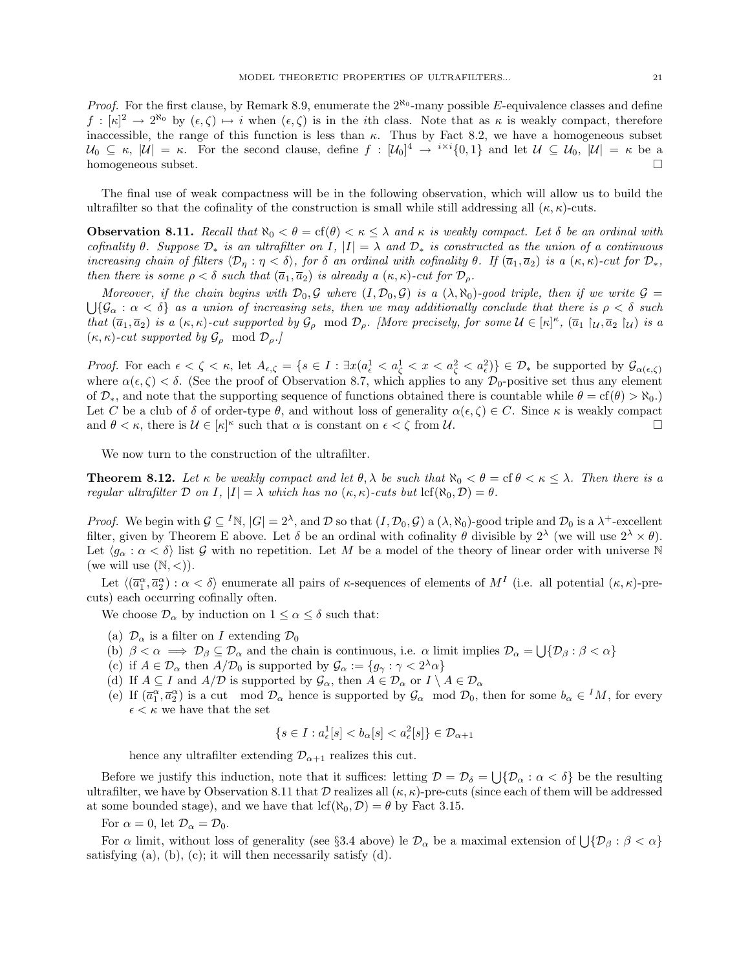*Proof.* For the first clause, by Remark 8.9, enumerate the  $2^{\aleph_0}$ -many possible E-equivalence classes and define  $f : [\kappa]^2 \to 2^{\aleph_0}$  by  $(\epsilon, \zeta) \mapsto i$  when  $(\epsilon, \zeta)$  is in the *i*th class. Note that as  $\kappa$  is weakly compact, therefore inaccessible, the range of this function is less than  $\kappa$ . Thus by Fact 8.2, we have a homogeneous subset  $\mathcal{U}_0 \subseteq \kappa$ ,  $|\mathcal{U}| = \kappa$ . For the second clause, define  $f : [\mathcal{U}_0]^4 \to {}^{i \times i} \{0,1\}$  and let  $\mathcal{U} \subseteq \mathcal{U}_0$ ,  $|\mathcal{U}| = \kappa$  be a homogeneous subset.

The final use of weak compactness will be in the following observation, which will allow us to build the ultrafilter so that the cofinality of the construction is small while still addressing all  $(\kappa, \kappa)$ -cuts.

**Observation 8.11.** Recall that  $\aleph_0 < \theta = \text{cf}(\theta) < \kappa \leq \lambda$  and  $\kappa$  is weakly compact. Let  $\delta$  be an ordinal with cofinality  $\theta$ . Suppose  $\mathcal{D}_*$  is an ultrafilter on I,  $|I| = \lambda$  and  $\mathcal{D}_*$  is constructed as the union of a continuous increasing chain of filters  $\langle \mathcal{D}_\eta : \eta < \delta \rangle$ , for  $\delta$  an ordinal with cofinality  $\theta$ . If  $(\bar{a}_1, \bar{a}_2)$  is a  $(\kappa, \kappa)$ -cut for  $\mathcal{D}_*,$ then there is some  $\rho < \delta$  such that  $(\overline{a}_1, \overline{a}_2)$  is already a  $(\kappa, \kappa)$ -cut for  $\mathcal{D}_{\rho}$ .

Moreover, if the chain begins with  $\mathcal{D}_0, \mathcal{G}$  where  $(I, \mathcal{D}_0, \mathcal{G})$  is a  $(\lambda, \aleph_0)$ -good triple, then if we write  $\mathcal{G} =$  $\bigcup \{\mathcal{G}_\alpha : \alpha < \delta\}$  as a union of increasing sets, then we may additionally conclude that there is  $\rho < \delta$  such that  $(\overline{a}_1, \overline{a}_2)$  is a  $(\kappa, \kappa)$ -cut supported by  $\mathcal{G}_{\rho}$  mod  $\mathcal{D}_{\rho}$ . [More precisely, for some  $\mathcal{U} \in [\kappa]^{\kappa}$ ,  $(\overline{a}_1 \upharpoonright_{\mathcal{U}}, \overline{a}_2 \upharpoonright_{\mathcal{U}})$  is a  $(\kappa, \kappa)$ -cut supported by  $\mathcal{G}_{\rho}$  mod  $\mathcal{D}_{\rho}$ .

Proof. For each  $\epsilon < \zeta < \kappa$ , let  $A_{\epsilon,\zeta} = \{s \in I : \exists x (a_{\epsilon}^1 < a_{\zeta}^1 < x < a_{\zeta}^2 < a_{\epsilon}^2)\} \in \mathcal{D}_{*}$  be supported by  $\mathcal{G}_{\alpha(\epsilon,\zeta)}$ where  $\alpha(\epsilon, \zeta) < \delta$ . (See the proof of Observation 8.7, which applies to any  $\mathcal{D}_0$ -positive set thus any element of  $\mathcal{D}_*$ , and note that the supporting sequence of functions obtained there is countable while  $\theta = \text{cf}(\theta) > \aleph_0$ . Let C be a club of  $\delta$  of order-type  $\theta$ , and without loss of generality  $\alpha(\epsilon, \zeta) \in C$ . Since  $\kappa$  is weakly compact and  $\theta < \kappa$ , there is  $\mathcal{U} \in [\kappa]^{\kappa}$  such that  $\alpha$  is constant on  $\epsilon < \zeta$  from  $\mathcal{U}$ .

We now turn to the construction of the ultrafilter.

**Theorem 8.12.** Let  $\kappa$  be weakly compact and let  $\theta$ ,  $\lambda$  be such that  $\aleph_0 < \theta = \text{cf } \theta < \kappa \leq \lambda$ . Then there is a regular ultrafilter D on I,  $|I| = \lambda$  which has no  $(\kappa, \kappa)$ -cuts but  $\text{lcf}(\aleph_0, \mathcal{D}) = \theta$ .

*Proof.* We begin with  $\mathcal{G} \subseteq {}^{I}\mathbb{N}$ ,  $|G| = 2^{\lambda}$ , and  $\mathcal{D}$  so that  $(I, \mathcal{D}_0, \mathcal{G})$  a  $(\lambda, \aleph_0)$ -good triple and  $\mathcal{D}_0$  is a  $\lambda^+$ -excellent filter, given by Theorem E above. Let  $\delta$  be an ordinal with cofinality  $\theta$  divisible by  $2^{\lambda}$  (we will use  $2^{\lambda} \times \theta$ ). Let  $\langle g_\alpha : \alpha < \delta \rangle$  list G with no repetition. Let M be a model of the theory of linear order with universe N (we will use  $(N, <)$ ).

Let  $\langle (\overline{a}_1^{\alpha}, \overline{a}_2^{\alpha}) : \alpha < \delta \rangle$  enumerate all pairs of  $\kappa$ -sequences of elements of  $M^I$  (i.e. all potential  $(\kappa, \kappa)$ -precuts) each occurring cofinally often.

We choose  $\mathcal{D}_{\alpha}$  by induction on  $1 \leq \alpha \leq \delta$  such that:

- (a)  $\mathcal{D}_{\alpha}$  is a filter on I extending  $\mathcal{D}_{0}$
- (b)  $\beta < \alpha \implies \mathcal{D}_{\beta} \subseteq \mathcal{D}_{\alpha}$  and the chain is continuous, i.e.  $\alpha$  limit implies  $\mathcal{D}_{\alpha} = \bigcup \{ \mathcal{D}_{\beta} : \beta < \alpha \}$
- (c) if  $A \in \mathcal{D}_{\alpha}$  then  $A/\mathcal{D}_0$  is supported by  $\mathcal{G}_{\alpha} := \{g_{\gamma} : \gamma < 2^{\lambda} \alpha\}$
- (d) If  $A \subseteq I$  and  $A/D$  is supported by  $\mathcal{G}_{\alpha}$ , then  $A \in \mathcal{D}_{\alpha}$  or  $I \setminus A \in \mathcal{D}_{\alpha}$
- (e) If  $(\bar{a}_1^{\alpha}, \bar{a}_2^{\alpha})$  is a cut mod  $\mathcal{D}_{\alpha}$  hence is supported by  $\mathcal{G}_{\alpha}$  mod  $\mathcal{D}_0$ , then for some  $b_{\alpha} \in M$ , for every  $\epsilon < \kappa$  we have that the set

$$
\{s\in I: a^1_\epsilon[s]
$$

hence any ultrafilter extending  $\mathcal{D}_{\alpha+1}$  realizes this cut.

Before we justify this induction, note that it suffices: letting  $\mathcal{D} = \mathcal{D}_{\delta} = \bigcup \{ \mathcal{D}_{\alpha} : \alpha < \delta \}$  be the resulting ultrafilter, we have by Observation 8.11 that D realizes all  $(\kappa, \kappa)$ -pre-cuts (since each of them will be addressed at some bounded stage), and we have that  $\text{lcf}(\aleph_0, \mathcal{D}) = \theta$  by Fact 3.15.

For  $\alpha = 0$ , let  $\mathcal{D}_{\alpha} = \mathcal{D}_0$ .

For  $\alpha$  limit, without loss of generality (see §3.4 above) le  $\mathcal{D}_{\alpha}$  be a maximal extension of  $\bigcup \{\mathcal{D}_{\beta} : \beta < \alpha\}$ satisfying  $(a)$ ,  $(b)$ ,  $(c)$ ; it will then necessarily satisfy  $(d)$ .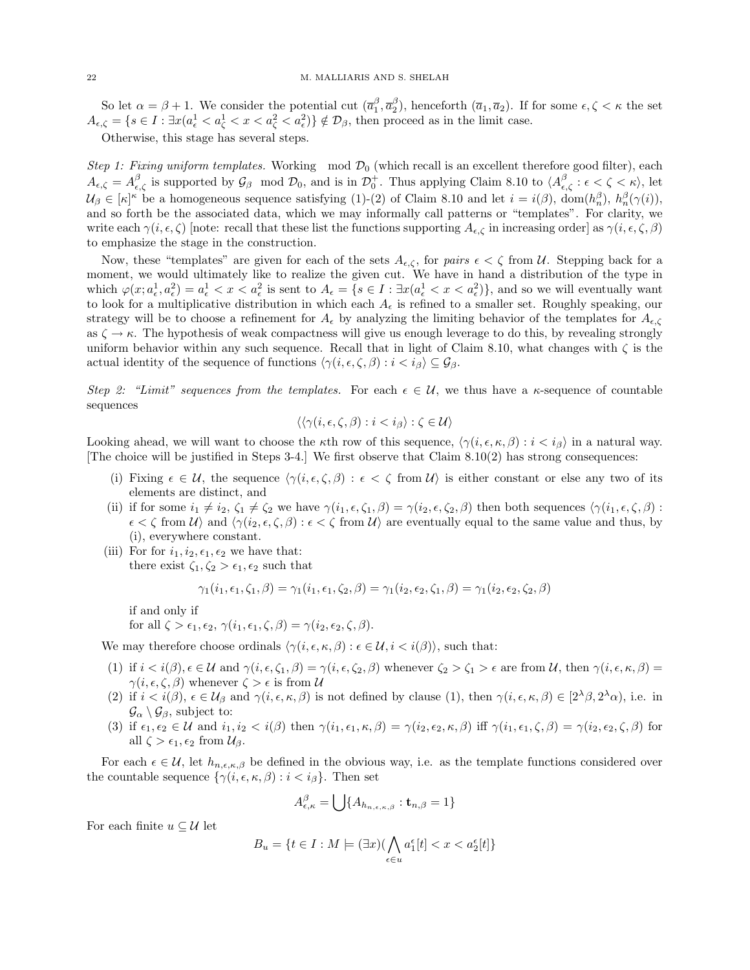So let  $\alpha = \beta + 1$ . We consider the potential cut  $(\overline{a}_1^{\beta}, \overline{a}_2^{\beta})$ , henceforth  $(\overline{a}_1, \overline{a}_2)$ . If for some  $\epsilon, \zeta < \kappa$  the set  $A_{\epsilon,\zeta} = \{s \in I : \exists x (a_{\epsilon}^1 < a_{\zeta}^1 < x < a_{\zeta}^2 < a_{\epsilon}^2)\} \notin \mathcal{D}_{\beta}$ , then proceed as in the limit case.

Otherwise, this stage has several steps.

Step 1: Fixing uniform templates. Working mod  $\mathcal{D}_0$  (which recall is an excellent therefore good filter), each  $A_{\epsilon,\zeta} = A_{\epsilon,\zeta}^{\beta}$  is supported by  $\mathcal{G}_{\beta}$  mod  $\mathcal{D}_{0}$ , and is in  $\mathcal{D}_{0}^{+}$ . Thus applying Claim 8.10 to  $\langle A_{\epsilon,\zeta}^{\beta} : \epsilon < \zeta < \kappa \rangle$ , let  $\mathcal{U}_{\beta} \in [\kappa]^{\kappa}$  be a homogeneous sequence satisfying (1)-(2) of Claim 8.10 and let  $i = i(\beta)$ ,  $\text{dom}(h_n^{\beta})$ ,  $h_n^{\beta}(\gamma(i))$ , and so forth be the associated data, which we may informally call patterns or "templates". For clarity, we write each  $\gamma(i, \epsilon, \zeta)$  [note: recall that these list the functions supporting  $A_{\epsilon,\zeta}$  in increasing order] as  $\gamma(i, \epsilon, \zeta, \beta)$ to emphasize the stage in the construction.

Now, these "templates" are given for each of the sets  $A_{\epsilon,\zeta}$ , for pairs  $\epsilon < \zeta$  from U. Stepping back for a moment, we would ultimately like to realize the given cut. We have in hand a distribution of the type in which  $\varphi(x; a_\epsilon^1, a_\epsilon^2) = a_\epsilon^1 < x < a_\epsilon^2$  is sent to  $A_\epsilon = \{s \in I : \exists x (a_\epsilon^1 < x < a_\epsilon^2)\}\$ , and so we will eventually want to look for a multiplicative distribution in which each  $A_{\epsilon}$  is refined to a smaller set. Roughly speaking, our strategy will be to choose a refinement for  $A_{\epsilon}$  by analyzing the limiting behavior of the templates for  $A_{\epsilon,\zeta}$ as  $\zeta \to \kappa$ . The hypothesis of weak compactness will give us enough leverage to do this, by revealing strongly uniform behavior within any such sequence. Recall that in light of Claim 8.10, what changes with  $\zeta$  is the actual identity of the sequence of functions  $\langle \gamma(i, \epsilon, \zeta, \beta) : i < i_{\beta} \rangle \subseteq \mathcal{G}_{\beta}$ .

Step 2: "Limit" sequences from the templates. For each  $\epsilon \in \mathcal{U}$ , we thus have a  $\kappa$ -sequence of countable sequences

$$
\langle \langle \gamma(i, \epsilon, \zeta, \beta) : i < i_{\beta} \rangle : \zeta \in \mathcal{U} \rangle
$$

Looking ahead, we will want to choose the  $\kappa$ th row of this sequence,  $\langle \gamma(i, \epsilon, \kappa, \beta) : i < i_{\beta} \rangle$  in a natural way. [The choice will be justified in Steps 3-4.] We first observe that Claim 8.10(2) has strong consequences:

- (i) Fixing  $\epsilon \in \mathcal{U}$ , the sequence  $\langle \gamma(i, \epsilon, \zeta, \beta) : \epsilon < \zeta$  from  $\mathcal{U}$  is either constant or else any two of its elements are distinct, and
- (ii) if for some  $i_1 \neq i_2, \zeta_1 \neq \zeta_2$  we have  $\gamma(i_1, \epsilon, \zeta_1, \beta) = \gamma(i_2, \epsilon, \zeta_2, \beta)$  then both sequences  $\langle \gamma(i_1, \epsilon, \zeta, \beta) :$  $\epsilon < \zeta$  from  $\mathcal{U} \rangle$  and  $\langle \gamma(i_2, \epsilon, \zeta, \beta) : \epsilon < \zeta$  from  $\mathcal{U} \rangle$  are eventually equal to the same value and thus, by (i), everywhere constant.
- (iii) For for  $i_1, i_2, \epsilon_1, \epsilon_2$  we have that: there exist  $\zeta_1, \zeta_2 > \epsilon_1, \epsilon_2$  such that

$$
\gamma_1(i_1,\epsilon_1,\zeta_1,\beta) = \gamma_1(i_1,\epsilon_1,\zeta_2,\beta) = \gamma_1(i_2,\epsilon_2,\zeta_1,\beta) = \gamma_1(i_2,\epsilon_2,\zeta_2,\beta)
$$

if and only if

for all  $\zeta > \epsilon_1, \epsilon_2, \gamma(i_1, \epsilon_1, \zeta, \beta) = \gamma(i_2, \epsilon_2, \zeta, \beta).$ 

We may therefore choose ordinals  $\langle \gamma(i, \epsilon, \kappa, \beta) : \epsilon \in \mathcal{U}, i < i(\beta) \rangle$ , such that:

- (1) if  $i < i(\beta)$ ,  $\epsilon \in \mathcal{U}$  and  $\gamma(i, \epsilon, \zeta_1, \beta) = \gamma(i, \epsilon, \zeta_2, \beta)$  whenever  $\zeta_2 > \zeta_1 > \epsilon$  are from  $\mathcal{U}$ , then  $\gamma(i, \epsilon, \kappa, \beta) =$  $\gamma(i, \epsilon, \zeta, \beta)$  whenever  $\zeta > \epsilon$  is from U
- (2) if  $i < i(\beta)$ ,  $\epsilon \in \mathcal{U}_{\beta}$  and  $\gamma(i, \epsilon, \kappa, \beta)$  is not defined by clause (1), then  $\gamma(i, \epsilon, \kappa, \beta) \in [2^{\lambda}\beta, 2^{\lambda}\alpha)$ , i.e. in  $\mathcal{G}_{\alpha} \setminus \mathcal{G}_{\beta}$ , subject to:
- (3) if  $\epsilon_1, \epsilon_2 \in \mathcal{U}$  and  $i_1, i_2 < i(\beta)$  then  $\gamma(i_1, \epsilon_1, \kappa, \beta) = \gamma(i_2, \epsilon_2, \kappa, \beta)$  iff  $\gamma(i_1, \epsilon_1, \zeta, \beta) = \gamma(i_2, \epsilon_2, \zeta, \beta)$  for all  $\zeta > \epsilon_1, \epsilon_2$  from  $\mathcal{U}_{\beta}$ .

For each  $\epsilon \in \mathcal{U}$ , let  $h_{n,\epsilon,\kappa,\beta}$  be defined in the obvious way, i.e. as the template functions considered over the countable sequence  $\{\gamma(i, \epsilon, \kappa, \beta) : i < i_{\beta}\}.$  Then set

$$
A_{\epsilon,\kappa}^{\beta} = \bigcup \{ A_{h_{n,\epsilon,\kappa,\beta}} : \mathbf{t}_{n,\beta} = 1 \}
$$

For each finite  $u \subseteq \mathcal{U}$  let

$$
B_u = \{ t \in I : M \models (\exists x)(\bigwedge_{\epsilon \in u} a_1^{\epsilon}[t] < x < a_2^{\epsilon}[t] \}
$$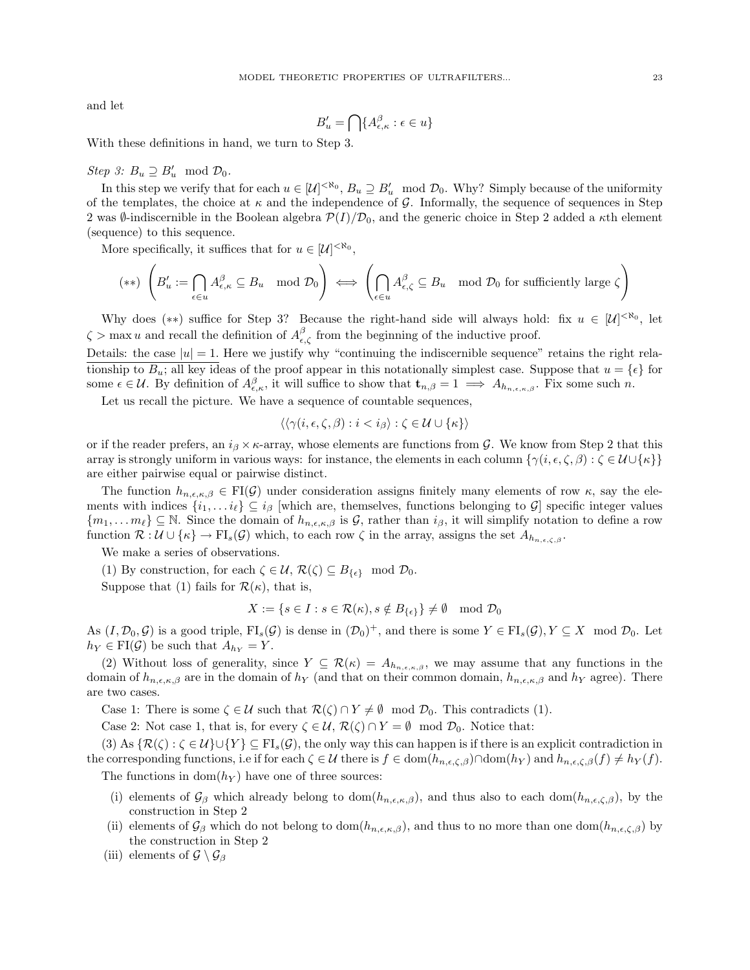and let

$$
B'_u = \bigcap \{ A_{\epsilon,\kappa}^{\beta} : \epsilon \in u \}
$$

With these definitions in hand, we turn to Step 3.

# $Step 3: B_u \supseteq B_u' \mod \mathcal{D}_0.$

In this step we verify that for each  $u \in [\mathcal{U}]^{< \aleph_0}, B_u \supseteq B'_u \mod \mathcal{D}_0$ . Why? Simply because of the uniformity of the templates, the choice at  $\kappa$  and the independence of G. Informally, the sequence of sequences in Step 2 was  $\emptyset$ -indiscernible in the Boolean algebra  $\mathcal{P}(I)/\mathcal{D}_0$ , and the generic choice in Step 2 added a  $\kappa$ th element (sequence) to this sequence.

More specifically, it suffices that for  $u \in [\mathcal{U}]^{<\aleph_0}$ ,

$$
(**) \left(B'_u := \bigcap_{\epsilon \in u} A_{\epsilon,\kappa}^{\beta} \subseteq B_u \mod \mathcal{D}_0\right) \iff \left(\bigcap_{\epsilon \in u} A_{\epsilon,\zeta}^{\beta} \subseteq B_u \mod \mathcal{D}_0 \text{ for sufficiently large }\zeta\right)
$$

Why does (\*\*) suffice for Step 3? Because the right-hand side will always hold: fix  $u \in [\mathcal{U}]^{< \aleph_0}$ , let  $\zeta > \max u$  and recall the definition of  $A_{\epsilon,\zeta}^{\beta}$  from the beginning of the inductive proof.

Details: the case  $|u|=1$ . Here we justify why "continuing the indiscernible sequence" retains the right relationship to  $B_u$ ; all key ideas of the proof appear in this notationally simplest case. Suppose that  $u = \{\epsilon\}$  for some  $\epsilon \in \mathcal{U}$ . By definition of  $A_{\epsilon,\kappa}^{\beta}$ , it will suffice to show that  $\mathbf{t}_{n,\beta} = 1 \implies A_{h_{n,\epsilon,\kappa,\beta}}$ . Fix some such n.

Let us recall the picture. We have a sequence of countable sequences,

$$
\langle \langle \gamma(i, \epsilon, \zeta, \beta) : i < i_{\beta} \rangle : \zeta \in \mathcal{U} \cup \{\kappa\} \rangle
$$

or if the reader prefers, an  $i_{\beta} \times \kappa$ -array, whose elements are functions from G. We know from Step 2 that this array is strongly uniform in various ways: for instance, the elements in each column  $\{\gamma(i, \epsilon, \zeta, \beta) : \zeta \in \mathcal{U} \cup \{\kappa\}\}\$ are either pairwise equal or pairwise distinct.

The function  $h_{n,\epsilon,\kappa,\beta} \in \mathrm{FI}(\mathcal{G})$  under consideration assigns finitely many elements of row  $\kappa$ , say the elements with indices  $\{i_1, \ldots i_\ell\} \subseteq i_\beta$  [which are, themselves, functions belonging to G] specific integer values  ${m_1,\ldots m_\ell} \subseteq \mathbb{N}$ . Since the domain of  $h_{n,\epsilon,\kappa,\beta}$  is G, rather than  $i_\beta$ , it will simplify notation to define a row function  $\mathcal{R}: \mathcal{U} \cup \{\kappa\} \to \mathrm{FI}_s(\mathcal{G})$  which, to each row  $\zeta$  in the array, assigns the set  $A_{h_{n,\epsilon,\zeta},g}$ .

We make a series of observations.

(1) By construction, for each  $\zeta \in \mathcal{U}$ ,  $\mathcal{R}(\zeta) \subseteq B_{\{\epsilon\}}$  mod  $\mathcal{D}_0$ .

Suppose that (1) fails for  $\mathcal{R}(\kappa)$ , that is,

$$
X := \{ s \in I : s \in \mathcal{R}(\kappa), s \notin B_{\{\epsilon\}} \} \neq \emptyset \mod \mathcal{D}_0
$$

As  $(I, \mathcal{D}_0, \mathcal{G})$  is a good triple,  $FI_s(\mathcal{G})$  is dense in  $(\mathcal{D}_0)^+$ , and there is some  $Y \in FI_s(\mathcal{G}), Y \subseteq X \mod \mathcal{D}_0$ . Let  $h_Y \in \mathrm{FI}(\mathcal{G})$  be such that  $A_{h_Y} = Y$ .

(2) Without loss of generality, since  $Y \subseteq \mathcal{R}(\kappa) = A_{h_{n,\epsilon,\kappa,\beta}}$ , we may assume that any functions in the domain of  $h_{n,\epsilon,\kappa,\beta}$  are in the domain of  $h_Y$  (and that on their common domain,  $h_{n,\epsilon,\kappa,\beta}$  and  $h_Y$  agree). There are two cases.

Case 1: There is some  $\zeta \in \mathcal{U}$  such that  $\mathcal{R}(\zeta) \cap Y \neq \emptyset \mod \mathcal{D}_0$ . This contradicts (1).

Case 2: Not case 1, that is, for every  $\zeta \in \mathcal{U}$ ,  $\mathcal{R}(\zeta) \cap Y = \emptyset$  mod  $\mathcal{D}_0$ . Notice that:

(3) As  $\{\mathcal{R}(\zeta): \zeta \in \mathcal{U}\} \cup \{Y\} \subseteq \mathrm{FI}_s(\mathcal{G})$ , the only way this can happen is if there is an explicit contradiction in the corresponding functions, i.e if for each  $\zeta \in \mathcal{U}$  there is  $f \in \text{dom}(h_{n,\epsilon,\zeta,\beta}) \cap \text{dom}(h_Y)$  and  $h_{n,\epsilon,\zeta,\beta}(f) \neq h_Y(f)$ .

The functions in  $dom(h_Y)$  have one of three sources:

- (i) elements of  $\mathcal{G}_{\beta}$  which already belong to dom( $h_{n,\epsilon,\kappa,\beta}$ ), and thus also to each dom( $h_{n,\epsilon,\zeta,\beta}$ ), by the construction in Step 2
- (ii) elements of  $\mathcal{G}_{\beta}$  which do not belong to dom $(h_{n,\epsilon,\kappa,\beta})$ , and thus to no more than one dom $(h_{n,\epsilon,\zeta,\beta})$  by the construction in Step 2
- (iii) elements of  $\mathcal{G} \setminus \mathcal{G}_{\beta}$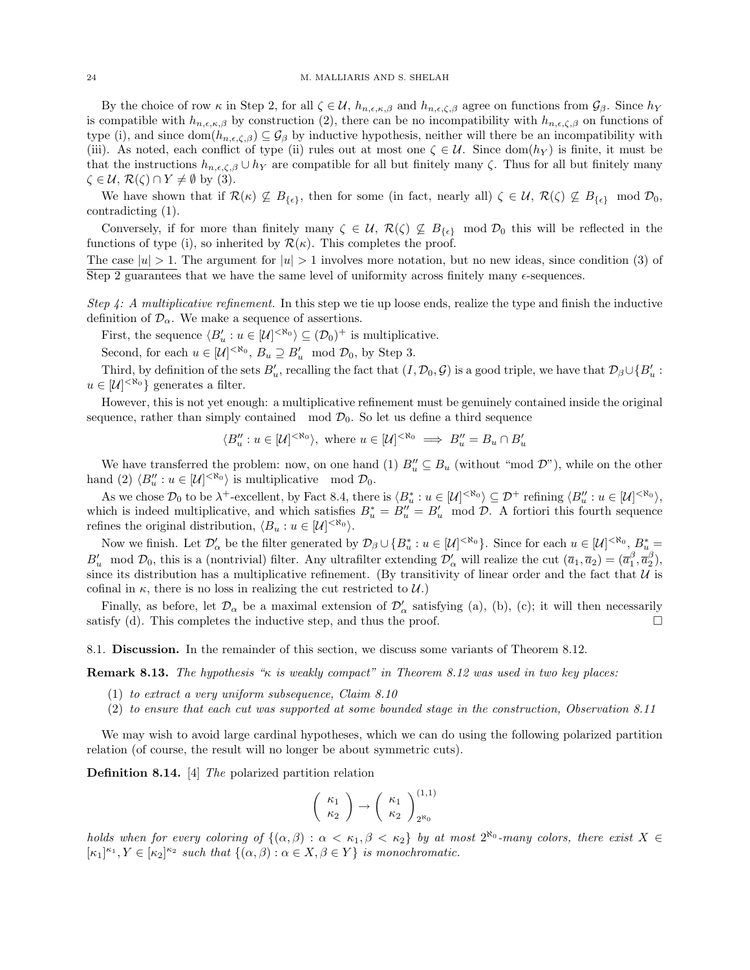By the choice of row  $\kappa$  in Step 2, for all  $\zeta \in \mathcal{U}$ ,  $h_{n,\epsilon,\kappa,\beta}$  and  $h_{n,\epsilon,\zeta,\beta}$  agree on functions from  $\mathcal{G}_{\beta}$ . Since  $h_Y$ is compatible with  $h_{n,\epsilon,\kappa,\beta}$  by construction (2), there can be no incompatibility with  $h_{n,\epsilon,\zeta,\beta}$  on functions of type (i), and since  $\text{dom}(h_{n,\epsilon,\zeta,\beta}) \subseteq \mathcal{G}_{\beta}$  by inductive hypothesis, neither will there be an incompatibility with (iii). As noted, each conflict of type (ii) rules out at most one  $\zeta \in \mathcal{U}$ . Since dom( $h_Y$ ) is finite, it must be that the instructions  $h_{n,\epsilon,\zeta,\beta} \cup h_Y$  are compatible for all but finitely many  $\zeta$ . Thus for all but finitely many  $\zeta \in \mathcal{U}, \mathcal{R}(\zeta) \cap Y \neq \emptyset$  by (3).

We have shown that if  $\mathcal{R}(\kappa) \nsubseteq B_{\{\epsilon\}}$ , then for some (in fact, nearly all)  $\zeta \in \mathcal{U}$ ,  $\mathcal{R}(\zeta) \nsubseteq B_{\{\epsilon\}}$  mod  $\mathcal{D}_0$ , contradicting (1).

Conversely, if for more than finitely many  $\zeta \in \mathcal{U}$ ,  $\mathcal{R}(\zeta) \not\subseteq B_{\{\epsilon\}}$  mod  $\mathcal{D}_0$  this will be reflected in the functions of type (i), so inherited by  $\mathcal{R}(\kappa)$ . This completes the proof.

The case  $|u| > 1$ . The argument for  $|u| > 1$  involves more notation, but no new ideas, since condition (3) of Step 2 guarantees that we have the same level of uniformity across finitely many  $\epsilon$ -sequences.

Step 4: A multiplicative refinement. In this step we tie up loose ends, realize the type and finish the inductive definition of  $\mathcal{D}_{\alpha}$ . We make a sequence of assertions.

First, the sequence  $\langle B'_u : u \in [\mathcal{U}]^{<\aleph_0} \rangle \subseteq (\mathcal{D}_0)^+$  is multiplicative.

Second, for each  $u \in [\mathcal{U}]^{< \aleph_0}, B_u \supseteq B'_u \mod \mathcal{D}_0$ , by Step 3.

Third, by definition of the sets  $B'_u$ , recalling the fact that  $(I, \mathcal{D}_0, \mathcal{G})$  is a good triple, we have that  $\mathcal{D}_{\beta} \cup \{B'_u :$  $u \in [\mathcal{U}]^{< \aleph_0}$  generates a filter.

However, this is not yet enough: a multiplicative refinement must be genuinely contained inside the original sequence, rather than simply contained mod  $\mathcal{D}_0$ . So let us define a third sequence

$$
\langle B''_u : u \in [\mathcal{U}]^{< \aleph_0} \rangle
$$
, where  $u \in [\mathcal{U}]^{< \aleph_0} \implies B''_u = B_u \cap B'_u$ 

We have transferred the problem: now, on one hand (1)  $B''_u \subseteq B_u$  (without "mod  $\mathcal{D}$ "), while on the other hand (2)  $\langle B''_u : u \in [\mathcal{U}]^{< \aleph_0} \rangle$  is multiplicative mod  $\mathcal{D}_0$ .

As we chose  $\mathcal{D}_0$  to be  $\lambda^+$ -excellent, by Fact 8.4, there is  $\langle B_u^* : u \in [\mathcal{U}]^{<\aleph_0} \rangle \subseteq \mathcal{D}^+$  refining  $\langle B_u'' : u \in [\mathcal{U}]^{<\aleph_0} \rangle$ , which is indeed multiplicative, and which satisfies  $B_u^* = B_u'' = B_u'$  mod  $D$ . A fortiori this fourth sequence refines the original distribution,  $\langle B_u : u \in [\mathcal{U}]^{<\aleph_0} \rangle$ .

Now we finish. Let  $\mathcal{D}'_{\alpha}$  be the filter generated by  $\mathcal{D}_{\beta}\cup\{B_u^*:u\in[\mathcal{U}]^{<\aleph_0}\}\.$  Since for each  $u\in[\mathcal{U}]^{<\aleph_0}, B_u^*=\emptyset$  $B'_u \mod \mathcal{D}_0$ , this is a (nontrivial) filter. Any ultrafilter extending  $\mathcal{D}'_{\alpha}$  will realize the cut  $(\bar{a}_1, \bar{a}_2) = (\bar{a}_1^{\beta}, \bar{a}_2^{\beta})$ , since its distribution has a multiplicative refinement. (By transitivity of linear order and the fact that  $U$  is cofinal in  $\kappa$ , there is no loss in realizing the cut restricted to  $\mathcal{U}$ .)

Finally, as before, let  $\mathcal{D}_{\alpha}$  be a maximal extension of  $\mathcal{D}'_{\alpha}$  satisfying (a), (b), (c); it will then necessarily satisfy (d). This completes the inductive step, and thus the proof.  $\square$ 

8.1. Discussion. In the remainder of this section, we discuss some variants of Theorem 8.12.

**Remark 8.13.** The hypothesis " $\kappa$  is weakly compact" in Theorem 8.12 was used in two key places:

- (1) to extract a very uniform subsequence, Claim 8.10
- (2) to ensure that each cut was supported at some bounded stage in the construction, Observation 8.11

We may wish to avoid large cardinal hypotheses, which we can do using the following polarized partition relation (of course, the result will no longer be about symmetric cuts).

Definition 8.14. [4] The polarized partition relation

$$
\left(\begin{array}{c} \kappa_1\\ \kappa_2 \end{array}\right) \rightarrow \left(\begin{array}{c} \kappa_1\\ \kappa_2 \end{array}\right)_{2^{\aleph_0}}^{(1,1)}
$$

holds when for every coloring of  $\{(\alpha,\beta): \alpha < \kappa_1, \beta < \kappa_2\}$  by at most  $2^{\aleph_0}$ -many colors, there exist  $X \in$  $[\kappa_1]^{\kappa_1}, Y \in [\kappa_2]^{\kappa_2}$  such that  $\{(\alpha, \beta) : \alpha \in X, \beta \in Y\}$  is monochromatic.